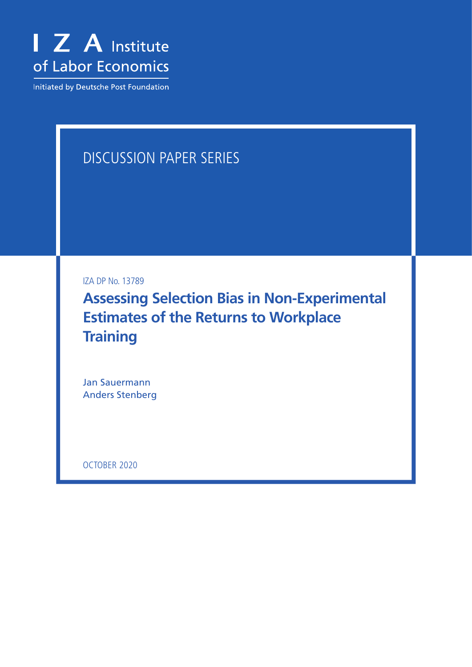

Initiated by Deutsche Post Foundation

# DISCUSSION PAPER SERIES

IZA DP No. 13789

**Assessing Selection Bias in Non-Experimental Estimates of the Returns to Workplace Training**

Jan Sauermann Anders Stenberg

OCTOBER 2020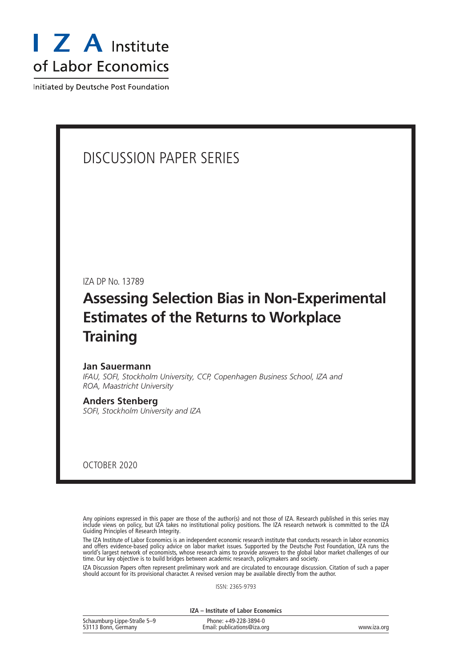

Initiated by Deutsche Post Foundation

## DISCUSSION PAPER SERIES

IZA DP No. 13789

## **Assessing Selection Bias in Non-Experimental Estimates of the Returns to Workplace Training**

#### **Jan Sauermann**

*IFAU, SOFI, Stockholm University, CCP, Copenhagen Business School, IZA and ROA, Maastricht University*

#### **Anders Stenberg**

*SOFI, Stockholm University and IZA*

OCTOBER 2020

Any opinions expressed in this paper are those of the author(s) and not those of IZA. Research published in this series may include views on policy, but IZA takes no institutional policy positions. The IZA research network is committed to the IZA Guiding Principles of Research Integrity.

The IZA Institute of Labor Economics is an independent economic research institute that conducts research in labor economics and offers evidence-based policy advice on labor market issues. Supported by the Deutsche Post Foundation, IZA runs the world's largest network of economists, whose research aims to provide answers to the global labor market challenges of our time. Our key objective is to build bridges between academic research, policymakers and society.

IZA Discussion Papers often represent preliminary work and are circulated to encourage discussion. Citation of such a paper should account for its provisional character. A revised version may be available directly from the author.

ISSN: 2365-9793

**IZA – Institute of Labor Economics**

| Schaumburg-Lippe-Straße 5-9 | Phone: +49-228-3894-0       |             |
|-----------------------------|-----------------------------|-------------|
| 53113 Bonn, Germany         | Email: publications@iza.org | www.iza.org |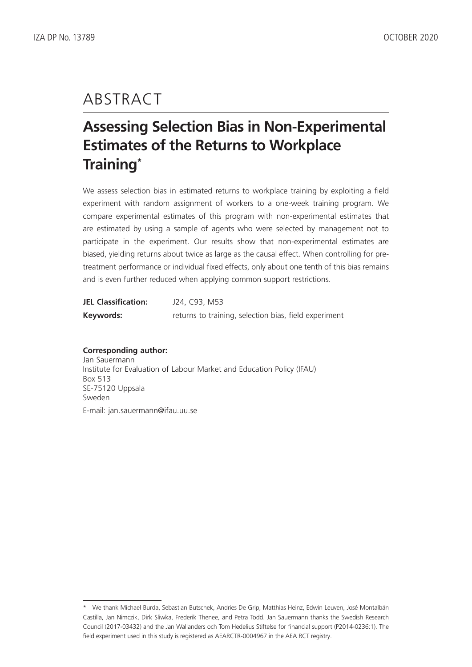# ABSTRACT

## **Assessing Selection Bias in Non-Experimental Estimates of the Returns to Workplace Training\***

We assess selection bias in estimated returns to workplace training by exploiting a field experiment with random assignment of workers to a one-week training program. We compare experimental estimates of this program with non-experimental estimates that are estimated by using a sample of agents who were selected by management not to participate in the experiment. Our results show that non-experimental estimates are biased, yielding returns about twice as large as the causal effect. When controlling for pretreatment performance or individual fixed effects, only about one tenth of this bias remains and is even further reduced when applying common support restrictions.

| <b>JEL Classification:</b> | J24, C93, M53                                         |
|----------------------------|-------------------------------------------------------|
| Keywords:                  | returns to training, selection bias, field experiment |

#### **Corresponding author:**

Jan Sauermann Institute for Evaluation of Labour Market and Education Policy (IFAU) Box 513 SE-75120 Uppsala Sweden E-mail: jan.sauermann@ifau.uu.se

<sup>\*</sup> We thank Michael Burda, Sebastian Butschek, Andries De Grip, Matthias Heinz, Edwin Leuven, José Montalbán Castilla, Jan Nimczik, Dirk Sliwka, Frederik Thenee, and Petra Todd. Jan Sauermann thanks the Swedish Research Council (2017-03432) and the Jan Wallanders och Tom Hedelius Stiftelse for financial support (P2014-0236:1). The field experiment used in this study is registered as AEARCTR-0004967 in the AEA RCT registry.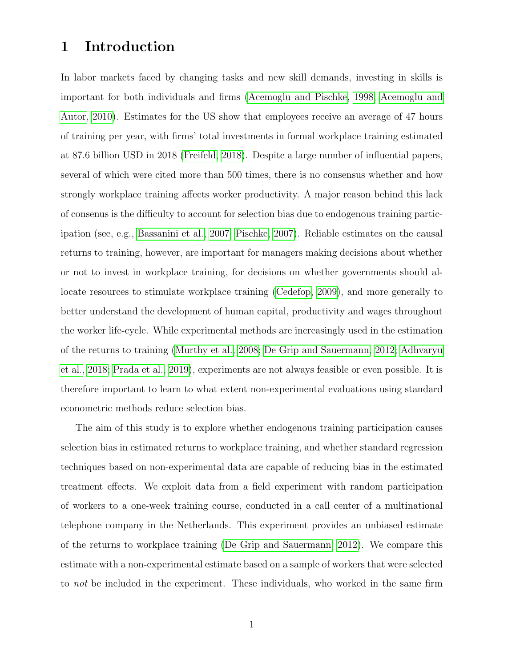## 1 Introduction

In labor markets faced by changing tasks and new skill demands, investing in skills is important for both individuals and firms [\(Acemoglu and Pischke, 1998;](#page-23-0) [Acemoglu and](#page-23-1) [Autor, 2010\)](#page-23-1). Estimates for the US show that employees receive an average of 47 hours of training per year, with firms' total investments in formal workplace training estimated at 87.6 billion USD in 2018 [\(Freifeld, 2018\)](#page-26-0). Despite a large number of influential papers, several of which were cited more than 500 times, there is no consensus whether and how strongly workplace training affects worker productivity. A major reason behind this lack of consenus is the difficulty to account for selection bias due to endogenous training participation (see, e.g., [Bassanini et al., 2007;](#page-24-0) [Pischke, 2007\)](#page-29-0). Reliable estimates on the causal returns to training, however, are important for managers making decisions about whether or not to invest in workplace training, for decisions on whether governments should allocate resources to stimulate workplace training [\(Cedefop, 2009\)](#page-26-1), and more generally to better understand the development of human capital, productivity and wages throughout the worker life-cycle. While experimental methods are increasingly used in the estimation of the returns to training [\(Murthy et al., 2008;](#page-28-0) [De Grip and Sauermann, 2012;](#page-26-2) [Adhvaryu](#page-23-2) [et al., 2018;](#page-23-2) [Prada et al., 2019\)](#page-29-1), experiments are not always feasible or even possible. It is therefore important to learn to what extent non-experimental evaluations using standard econometric methods reduce selection bias.

The aim of this study is to explore whether endogenous training participation causes selection bias in estimated returns to workplace training, and whether standard regression techniques based on non-experimental data are capable of reducing bias in the estimated treatment effects. We exploit data from a field experiment with random participation of workers to a one-week training course, conducted in a call center of a multinational telephone company in the Netherlands. This experiment provides an unbiased estimate of the returns to workplace training [\(De Grip and Sauermann, 2012\)](#page-26-2). We compare this estimate with a non-experimental estimate based on a sample of workers that were selected to not be included in the experiment. These individuals, who worked in the same firm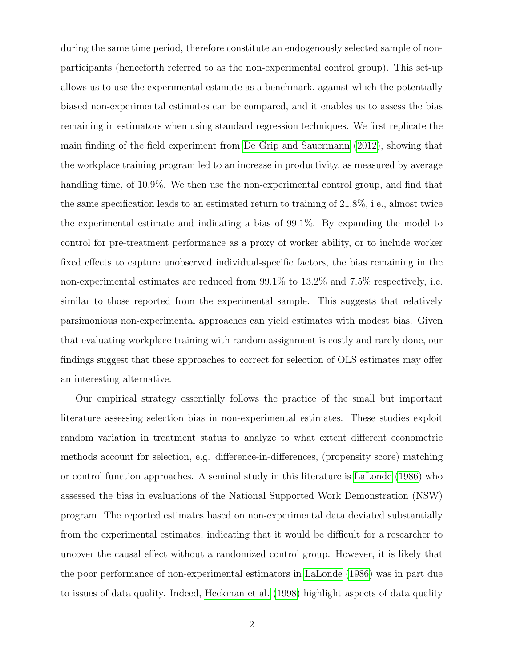during the same time period, therefore constitute an endogenously selected sample of nonparticipants (henceforth referred to as the non-experimental control group). This set-up allows us to use the experimental estimate as a benchmark, against which the potentially biased non-experimental estimates can be compared, and it enables us to assess the bias remaining in estimators when using standard regression techniques. We first replicate the main finding of the field experiment from [De Grip and Sauermann](#page-26-2) [\(2012\)](#page-26-2), showing that the workplace training program led to an increase in productivity, as measured by average handling time, of 10.9%. We then use the non-experimental control group, and find that the same specification leads to an estimated return to training of 21.8%, i.e., almost twice the experimental estimate and indicating a bias of 99.1%. By expanding the model to control for pre-treatment performance as a proxy of worker ability, or to include worker fixed effects to capture unobserved individual-specific factors, the bias remaining in the non-experimental estimates are reduced from  $99.1\%$  to  $13.2\%$  and  $7.5\%$  respectively, i.e. similar to those reported from the experimental sample. This suggests that relatively parsimonious non-experimental approaches can yield estimates with modest bias. Given that evaluating workplace training with random assignment is costly and rarely done, our findings suggest that these approaches to correct for selection of OLS estimates may offer an interesting alternative.

Our empirical strategy essentially follows the practice of the small but important literature assessing selection bias in non-experimental estimates. These studies exploit random variation in treatment status to analyze to what extent different econometric methods account for selection, e.g. difference-in-differences, (propensity score) matching or control function approaches. A seminal study in this literature is [LaLonde](#page-27-0) [\(1986\)](#page-27-0) who assessed the bias in evaluations of the National Supported Work Demonstration (NSW) program. The reported estimates based on non-experimental data deviated substantially from the experimental estimates, indicating that it would be difficult for a researcher to uncover the causal effect without a randomized control group. However, it is likely that the poor performance of non-experimental estimators in [LaLonde](#page-27-0) [\(1986\)](#page-27-0) was in part due to issues of data quality. Indeed, [Heckman et al.](#page-27-1) [\(1998\)](#page-27-1) highlight aspects of data quality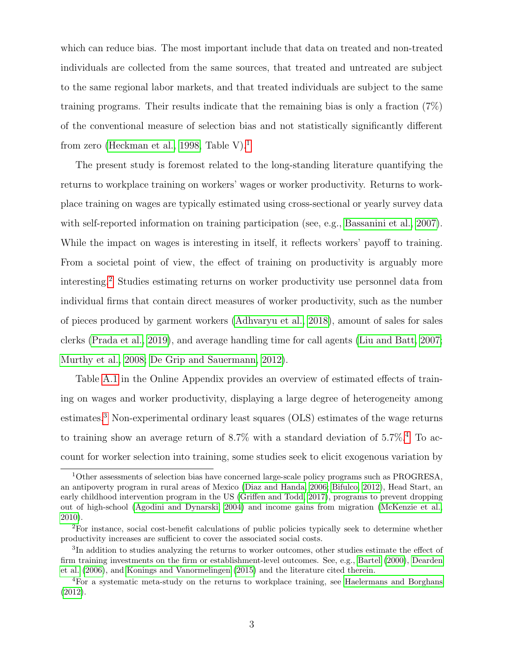which can reduce bias. The most important include that data on treated and non-treated individuals are collected from the same sources, that treated and untreated are subject to the same regional labor markets, and that treated individuals are subject to the same training programs. Their results indicate that the remaining bias is only a fraction (7%) of the conventional measure of selection bias and not statistically significantly different from zero [\(Heckman et al., 1998,](#page-27-1) Table V).<sup>[1](#page--1-0)</sup>

The present study is foremost related to the long-standing literature quantifying the returns to workplace training on workers' wages or worker productivity. Returns to workplace training on wages are typically estimated using cross-sectional or yearly survey data with self-reported information on training participation (see, e.g., [Bassanini et al., 2007\)](#page-24-0). While the impact on wages is interesting in itself, it reflects workers' payoff to training. From a societal point of view, the effect of training on productivity is arguably more interesting.[2](#page--1-0) Studies estimating returns on worker productivity use personnel data from individual firms that contain direct measures of worker productivity, such as the number of pieces produced by garment workers [\(Adhvaryu et al., 2018\)](#page-23-2), amount of sales for sales clerks [\(Prada et al., 2019\)](#page-29-1), and average handling time for call agents [\(Liu and Batt, 2007;](#page-28-1) [Murthy et al., 2008;](#page-28-0) [De Grip and Sauermann, 2012\)](#page-26-2).

Table [A.1](#page-31-0) in the Online Appendix provides an overview of estimated effects of training on wages and worker productivity, displaying a large degree of heterogeneity among estimates.<sup>[3](#page--1-0)</sup> Non-experimental ordinary least squares (OLS) estimates of the wage returns to training show an average return of  $8.7\%$  with a standard deviation of  $5.7\%$ .<sup>[4](#page--1-0)</sup> To account for worker selection into training, some studies seek to elicit exogenous variation by

<sup>1</sup>Other assessments of selection bias have concerned large-scale policy programs such as PROGRESA, an antipoverty program in rural areas of Mexico [\(Diaz and Handa, 2006;](#page-26-3) [Bifulco, 2012\)](#page-24-1), Head Start, an early childhood intervention program in the US [\(Griffen and Todd, 2017\)](#page-27-2), programs to prevent dropping out of high-school [\(Agodini and Dynarski, 2004\)](#page-23-3) and income gains from migration [\(McKenzie et al.,](#page-28-2) [2010\)](#page-28-2).

<sup>2</sup>For instance, social cost-benefit calculations of public policies typically seek to determine whether productivity increases are sufficient to cover the associated social costs.

<sup>&</sup>lt;sup>3</sup>In addition to studies analyzing the returns to worker outcomes, other studies estimate the effect of firm training investments on the firm or establishment-level outcomes. See, e.g., [Bartel](#page-24-2) [\(2000\)](#page-24-2), [Dearden](#page-26-4) [et al.](#page-26-4) [\(2006\)](#page-26-4), and [Konings and Vanormelingen](#page-27-3) [\(2015\)](#page-27-3) and the literature cited therein.

<sup>4</sup>For a systematic meta-study on the returns to workplace training, see [Haelermans and Borghans](#page-27-4) [\(2012\)](#page-27-4).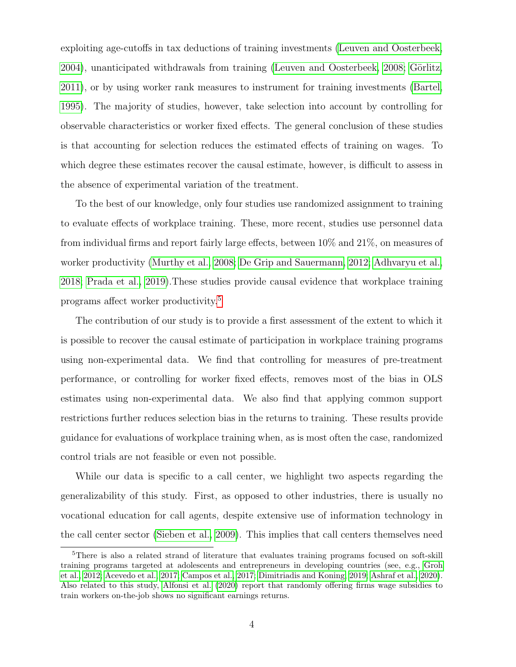exploiting age-cutoffs in tax deductions of training investments [\(Leuven and Oosterbeek,](#page-28-3) [2004\)](#page-28-3), unanticipated withdrawals from training [\(Leuven and Oosterbeek, 2008;](#page-28-4) Görlitz, [2011\)](#page-26-5), or by using worker rank measures to instrument for training investments [\(Bartel,](#page-24-3) [1995\)](#page-24-3). The majority of studies, however, take selection into account by controlling for observable characteristics or worker fixed effects. The general conclusion of these studies is that accounting for selection reduces the estimated effects of training on wages. To which degree these estimates recover the causal estimate, however, is difficult to assess in the absence of experimental variation of the treatment.

To the best of our knowledge, only four studies use randomized assignment to training to evaluate effects of workplace training. These, more recent, studies use personnel data from individual firms and report fairly large effects, between 10% and 21%, on measures of worker productivity [\(Murthy et al., 2008;](#page-28-0) [De Grip and Sauermann, 2012;](#page-26-2) [Adhvaryu et al.,](#page-23-2) [2018;](#page-23-2) [Prada et al., 2019\)](#page-29-1).These studies provide causal evidence that workplace training programs affect worker productivity.[5](#page--1-0)

The contribution of our study is to provide a first assessment of the extent to which it is possible to recover the causal estimate of participation in workplace training programs using non-experimental data. We find that controlling for measures of pre-treatment performance, or controlling for worker fixed effects, removes most of the bias in OLS estimates using non-experimental data. We also find that applying common support restrictions further reduces selection bias in the returns to training. These results provide guidance for evaluations of workplace training when, as is most often the case, randomized control trials are not feasible or even not possible.

While our data is specific to a call center, we highlight two aspects regarding the generalizability of this study. First, as opposed to other industries, there is usually no vocational education for call agents, despite extensive use of information technology in the call center sector [\(Sieben et al., 2009\)](#page-29-2). This implies that call centers themselves need

<sup>&</sup>lt;sup>5</sup>There is also a related strand of literature that evaluates training programs focused on soft-skill training programs targeted at adolescents and entrepreneurs in developing countries (see, e.g., [Groh](#page-27-5) [et al., 2012;](#page-27-5) [Acevedo et al., 2017;](#page-23-4) [Campos et al., 2017;](#page-25-0) [Dimitriadis and Koning, 2019;](#page-26-6) [Ashraf et al., 2020\)](#page-23-5). Also related to this study, [Alfonsi et al.](#page-23-6) [\(2020\)](#page-23-6) report that randomly offering firms wage subsidies to train workers on-the-job shows no significant earnings returns.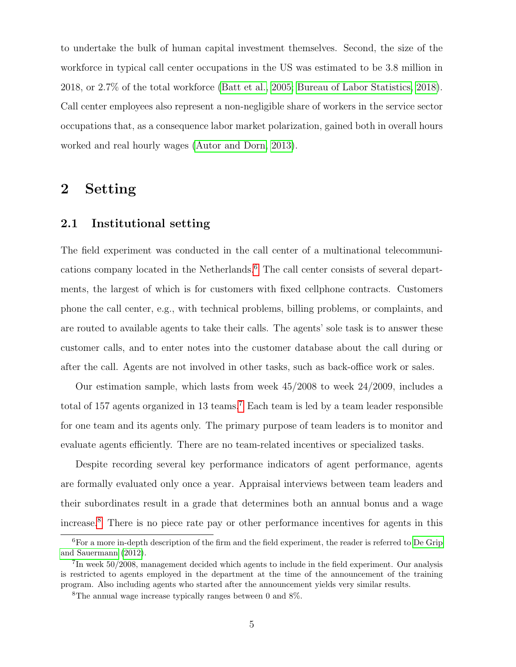to undertake the bulk of human capital investment themselves. Second, the size of the workforce in typical call center occupations in the US was estimated to be 3.8 million in 2018, or 2.7% of the total workforce [\(Batt et al., 2005;](#page-24-4) [Bureau of Labor Statistics, 2018\)](#page-25-1). Call center employees also represent a non-negligible share of workers in the service sector occupations that, as a consequence labor market polarization, gained both in overall hours worked and real hourly wages [\(Autor and Dorn, 2013\)](#page-24-5).

## 2 Setting

#### 2.1 Institutional setting

The field experiment was conducted in the call center of a multinational telecommunications company located in the Netherlands.[6](#page--1-0) The call center consists of several departments, the largest of which is for customers with fixed cellphone contracts. Customers phone the call center, e.g., with technical problems, billing problems, or complaints, and are routed to available agents to take their calls. The agents' sole task is to answer these customer calls, and to enter notes into the customer database about the call during or after the call. Agents are not involved in other tasks, such as back-office work or sales.

Our estimation sample, which lasts from week 45/2008 to week 24/2009, includes a total of 157 agents organized in 13 teams.[7](#page--1-0) Each team is led by a team leader responsible for one team and its agents only. The primary purpose of team leaders is to monitor and evaluate agents efficiently. There are no team-related incentives or specialized tasks.

Despite recording several key performance indicators of agent performance, agents are formally evaluated only once a year. Appraisal interviews between team leaders and their subordinates result in a grade that determines both an annual bonus and a wage increase.[8](#page--1-0) There is no piece rate pay or other performance incentives for agents in this

<sup>6</sup>For a more in-depth description of the firm and the field experiment, the reader is referred to [De Grip](#page-26-2) [and Sauermann](#page-26-2) [\(2012\)](#page-26-2).

<sup>&</sup>lt;sup>7</sup>In week 50/2008, management decided which agents to include in the field experiment. Our analysis is restricted to agents employed in the department at the time of the announcement of the training program. Also including agents who started after the announcement yields very similar results.

<sup>8</sup>The annual wage increase typically ranges between 0 and 8%.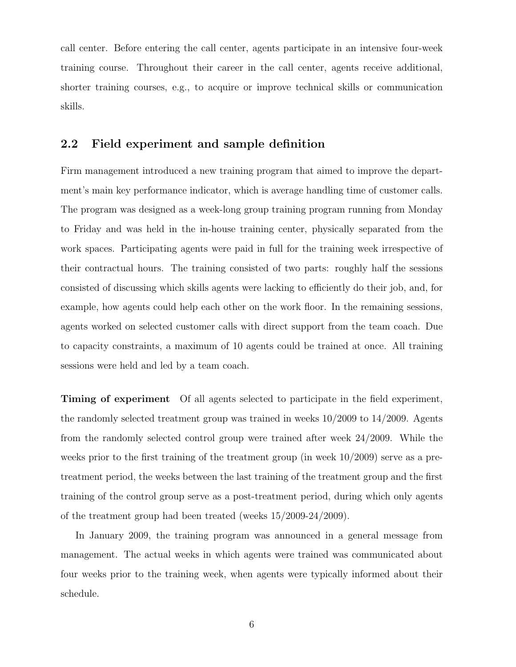call center. Before entering the call center, agents participate in an intensive four-week training course. Throughout their career in the call center, agents receive additional, shorter training courses, e.g., to acquire or improve technical skills or communication skills.

### 2.2 Field experiment and sample definition

Firm management introduced a new training program that aimed to improve the department's main key performance indicator, which is average handling time of customer calls. The program was designed as a week-long group training program running from Monday to Friday and was held in the in-house training center, physically separated from the work spaces. Participating agents were paid in full for the training week irrespective of their contractual hours. The training consisted of two parts: roughly half the sessions consisted of discussing which skills agents were lacking to efficiently do their job, and, for example, how agents could help each other on the work floor. In the remaining sessions, agents worked on selected customer calls with direct support from the team coach. Due to capacity constraints, a maximum of 10 agents could be trained at once. All training sessions were held and led by a team coach.

Timing of experiment Of all agents selected to participate in the field experiment, the randomly selected treatment group was trained in weeks 10/2009 to 14/2009. Agents from the randomly selected control group were trained after week 24/2009. While the weeks prior to the first training of the treatment group (in week 10/2009) serve as a pretreatment period, the weeks between the last training of the treatment group and the first training of the control group serve as a post-treatment period, during which only agents of the treatment group had been treated (weeks 15/2009-24/2009).

In January 2009, the training program was announced in a general message from management. The actual weeks in which agents were trained was communicated about four weeks prior to the training week, when agents were typically informed about their schedule.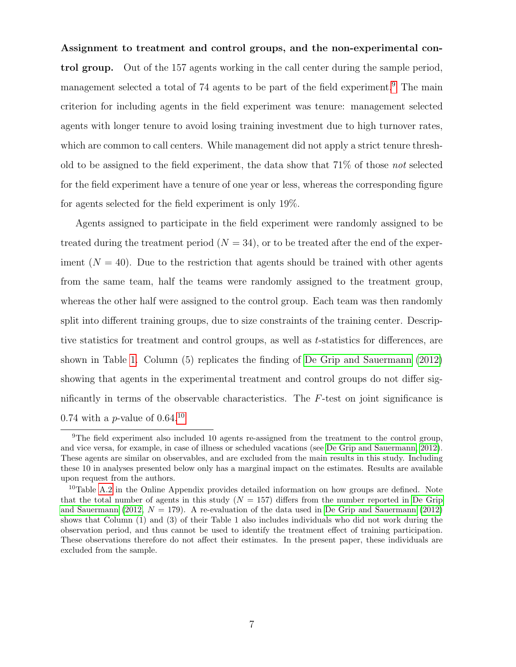<span id="page-9-0"></span>Assignment to treatment and control groups, and the non-experimental control group. Out of the 157 agents working in the call center during the sample period, management selected a total of 74 agents to be part of the field experiment.<sup>[9](#page--1-0)</sup> The main criterion for including agents in the field experiment was tenure: management selected agents with longer tenure to avoid losing training investment due to high turnover rates, which are common to call centers. While management did not apply a strict tenure threshold to be assigned to the field experiment, the data show that 71% of those not selected for the field experiment have a tenure of one year or less, whereas the corresponding figure for agents selected for the field experiment is only 19%.

Agents assigned to participate in the field experiment were randomly assigned to be treated during the treatment period  $(N = 34)$ , or to be treated after the end of the experiment  $(N = 40)$ . Due to the restriction that agents should be trained with other agents from the same team, half the teams were randomly assigned to the treatment group, whereas the other half were assigned to the control group. Each team was then randomly split into different training groups, due to size constraints of the training center. Descriptive statistics for treatment and control groups, as well as t-statistics for differences, are shown in Table [1.](#page-10-0) Column (5) replicates the finding of [De Grip and Sauermann](#page-26-2) [\(2012\)](#page-26-2) showing that agents in the experimental treatment and control groups do not differ significantly in terms of the observable characteristics. The F-test on joint significance is 0.74 with a *p*-value of  $0.64^{10}$  $0.64^{10}$  $0.64^{10}$ 

<sup>&</sup>lt;sup>9</sup>The field experiment also included 10 agents re-assigned from the treatment to the control group, and vice versa, for example, in case of illness or scheduled vacations (see [De Grip and Sauermann, 2012\)](#page-26-2). These agents are similar on observables, and are excluded from the main results in this study. Including these 10 in analyses presented below only has a marginal impact on the estimates. Results are available upon request from the authors.

<sup>&</sup>lt;sup>10</sup>Table [A.2](#page-33-0) in the Online Appendix provides detailed information on how groups are defined. Note that the total number of agents in this study  $(N = 157)$  differs from the number reported in [De Grip](#page-26-2) [and Sauermann](#page-26-2) [\(2012,](#page-26-2)  $N = 179$ ). A re-evaluation of the data used in [De Grip and Sauermann](#page-26-2) [\(2012\)](#page-26-2) shows that Column (1) and (3) of their Table 1 also includes individuals who did not work during the observation period, and thus cannot be used to identify the treatment effect of training participation. These observations therefore do not affect their estimates. In the present paper, these individuals are excluded from the sample.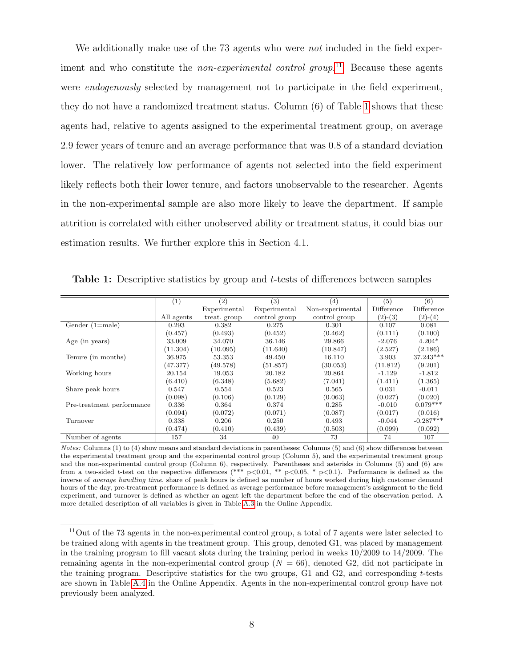We additionally make use of the 73 agents who were *not* included in the field experiment and who constitute the *non-experimental control group*.<sup>[11](#page--1-0)</sup> Because these agents were *endogenously* selected by management not to participate in the field experiment, they do not have a randomized treatment status. Column (6) of Table [1](#page-10-0) shows that these agents had, relative to agents assigned to the experimental treatment group, on average 2.9 fewer years of tenure and an average performance that was 0.8 of a standard deviation lower. The relatively low performance of agents not selected into the field experiment likely reflects both their lower tenure, and factors unobservable to the researcher. Agents in the non-experimental sample are also more likely to leave the department. If sample attrition is correlated with either unobserved ability or treatment status, it could bias our estimation results. We further explore this in Section 4.1.

|                           | $\left( 1\right)$ | $\left( 2\right)$ | (3)           | (4)              | (5)        | (6)         |
|---------------------------|-------------------|-------------------|---------------|------------------|------------|-------------|
|                           |                   | Experimental      | Experimental  | Non-experimental | Difference | Difference  |
|                           | All agents        | treat. group      | control group | control group    | $(2)-(3)$  | $(2)-(4)$   |
| Gender $(1=male)$         | 0.293             | 0.382             | 0.275         | 0.301            | 0.107      | 0.081       |
|                           | (0.457)           | (0.493)           | (0.452)       | (0.462)          | (0.111)    | (0.100)     |
| Age (in years)            | 33.009            | 34.070            | 36.146        | 29.866           | $-2.076$   | $4.204*$    |
|                           | (11.304)          | (10.095)          | (11.640)      | (10.847)         | (2.527)    | (2.186)     |
| Tenure (in months)        | 36.975            | 53.353            | 49.450        | 16.110           | 3.903      | 37.243***   |
|                           | (47.377)          | (49.578)          | (51.857)      | (30.053)         | (11.812)   | (9.201)     |
| Working hours             | 20.154            | 19.053            | 20.182        | 20.864           | $-1.129$   | $-1.812$    |
|                           | (6.410)           | (6.348)           | (5.682)       | (7.041)          | (1.411)    | (1.365)     |
| Share peak hours          | 0.547             | 0.554             | 0.523         | 0.565            | 0.031      | $-0.011$    |
|                           | (0.098)           | (0.106)           | (0.129)       | (0.063)          | (0.027)    | (0.020)     |
| Pre-treatment performance | 0.336             | 0.364             | 0.374         | 0.285            | $-0.010$   | $0.079***$  |
|                           | (0.094)           | (0.072)           | (0.071)       | (0.087)          | (0.017)    | (0.016)     |
| Turnover                  | 0.338             | 0.206             | 0.250         | 0.493            | $-0.044$   | $-0.287***$ |
|                           | (0.474)           | (0.410)           | (0.439)       | (0.503)          | (0.099)    | (0.092)     |
| Number of agents          | 157               | 34                | 40            | 73               | 74         | 107         |

<span id="page-10-0"></span>Table 1: Descriptive statistics by group and t-tests of differences between samples

Notes: Columns (1) to (4) show means and standard deviations in parentheses; Columns (5) and (6) show differences between the experimental treatment group and the experimental control group (Column 5), and the experimental treatment group and the non-experimental control group (Column 6), respectively. Parentheses and asterisks in Columns (5) and (6) are from a two-sided t-test on the respective differences (\*\*\*  $p<0.01$ , \*\*  $p<0.05$ , \*  $p<0.1$ ). Performance is defined as the inverse of average handling time, share of peak hours is defined as number of hours worked during high customer demand hours of the day, pre-treatment performance is defined as average performance before management's assignment to the field experiment, and turnover is defined as whether an agent left the department before the end of the observation period. A more detailed description of all variables is given in Table [A.3](#page-33-1) in the Online Appendix.

<sup>11</sup>Out of the 73 agents in the non-experimental control group, a total of 7 agents were later selected to be trained along with agents in the treatment group. This group, denoted G1, was placed by management in the training program to fill vacant slots during the training period in weeks  $10/2009$  to  $14/2009$ . The remaining agents in the non-experimental control group ( $N = 66$ ), denoted G2, did not participate in the training program. Descriptive statistics for the two groups,  $G1$  and  $G2$ , and corresponding t-tests are shown in Table [A.4](#page-34-0) in the Online Appendix. Agents in the non-experimental control group have not previously been analyzed.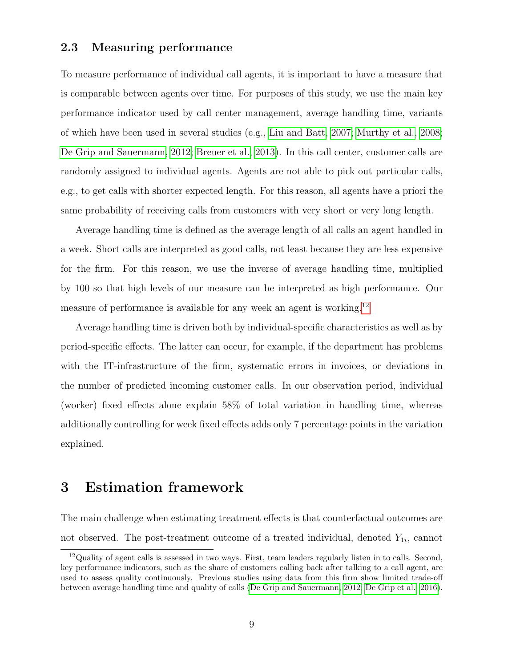#### 2.3 Measuring performance

To measure performance of individual call agents, it is important to have a measure that is comparable between agents over time. For purposes of this study, we use the main key performance indicator used by call center management, average handling time, variants of which have been used in several studies (e.g., [Liu and Batt, 2007;](#page-28-1) [Murthy et al., 2008;](#page-28-0) [De Grip and Sauermann, 2012;](#page-26-2) [Breuer et al., 2013\)](#page-25-2). In this call center, customer calls are randomly assigned to individual agents. Agents are not able to pick out particular calls, e.g., to get calls with shorter expected length. For this reason, all agents have a priori the same probability of receiving calls from customers with very short or very long length.

Average handling time is defined as the average length of all calls an agent handled in a week. Short calls are interpreted as good calls, not least because they are less expensive for the firm. For this reason, we use the inverse of average handling time, multiplied by 100 so that high levels of our measure can be interpreted as high performance. Our measure of performance is available for any week an agent is working.<sup>[12](#page--1-0)</sup>

Average handling time is driven both by individual-specific characteristics as well as by period-specific effects. The latter can occur, for example, if the department has problems with the IT-infrastructure of the firm, systematic errors in invoices, or deviations in the number of predicted incoming customer calls. In our observation period, individual (worker) fixed effects alone explain 58% of total variation in handling time, whereas additionally controlling for week fixed effects adds only 7 percentage points in the variation explained.

## <span id="page-11-0"></span>3 Estimation framework

The main challenge when estimating treatment effects is that counterfactual outcomes are not observed. The post-treatment outcome of a treated individual, denoted  $Y_{1i}$ , cannot

<sup>12</sup>Quality of agent calls is assessed in two ways. First, team leaders regularly listen in to calls. Second, key performance indicators, such as the share of customers calling back after talking to a call agent, are used to assess quality continuously. Previous studies using data from this firm show limited trade-off between average handling time and quality of calls [\(De Grip and Sauermann, 2012;](#page-26-2) [De Grip et al., 2016\)](#page-26-7).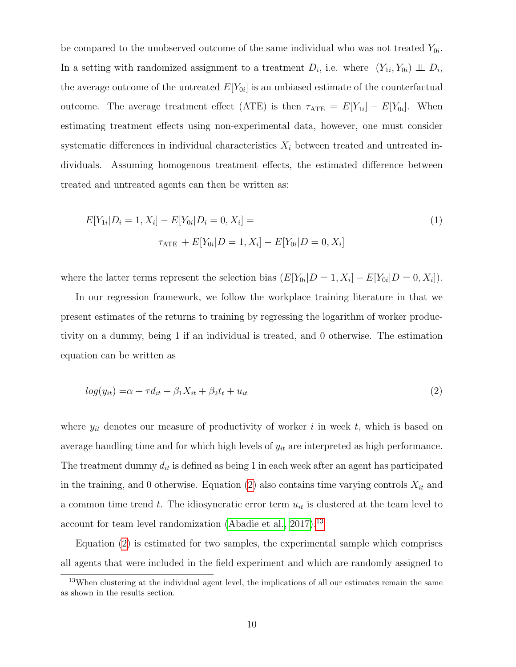be compared to the unobserved outcome of the same individual who was not treated  $Y_{0i}$ . In a setting with randomized assignment to a treatment  $D_i$ , i.e. where  $(Y_{1i}, Y_{0i}) \perp D_i$ , the average outcome of the untreated  $E[Y_{0i}]$  is an unbiased estimate of the counterfactual outcome. The average treatment effect (ATE) is then  $\tau_{ATE} = E[Y_{1i}] - E[Y_{0i}]$ . When estimating treatment effects using non-experimental data, however, one must consider systematic differences in individual characteristics  $X_i$  between treated and untreated individuals. Assuming homogenous treatment effects, the estimated difference between treated and untreated agents can then be written as:

<span id="page-12-1"></span>
$$
E[Y_{1i}|D_i = 1, X_i] - E[Y_{0i}|D_i = 0, X_i] =
$$
  

$$
\tau_{\text{ATE}} + E[Y_{0i}|D = 1, X_i] - E[Y_{0i}|D = 0, X_i]
$$
 (1)

where the latter terms represent the selection bias  $(E[Y_{0i}|D=1, X_i] - E[Y_{0i}|D=0, X_i]).$ 

In our regression framework, we follow the workplace training literature in that we present estimates of the returns to training by regressing the logarithm of worker productivity on a dummy, being 1 if an individual is treated, and 0 otherwise. The estimation equation can be written as

<span id="page-12-0"></span>
$$
log(y_{it}) = \alpha + \tau d_{it} + \beta_1 X_{it} + \beta_2 t_t + u_{it}
$$
\n
$$
\tag{2}
$$

where  $y_{it}$  denotes our measure of productivity of worker i in week t, which is based on average handling time and for which high levels of  $y_{it}$  are interpreted as high performance. The treatment dummy  $d_{it}$  is defined as being 1 in each week after an agent has participated in the training, and 0 otherwise. Equation [\(2\)](#page-12-0) also contains time varying controls  $X_{it}$  and a common time trend t. The idiosyncratic error term  $u_{it}$  is clustered at the team level to account for team level randomization [\(Abadie et al., 2017\)](#page-23-7).<sup>[13](#page--1-0)</sup>

Equation [\(2\)](#page-12-0) is estimated for two samples, the experimental sample which comprises all agents that were included in the field experiment and which are randomly assigned to

<sup>&</sup>lt;sup>13</sup>When clustering at the individual agent level, the implications of all our estimates remain the same as shown in the results section.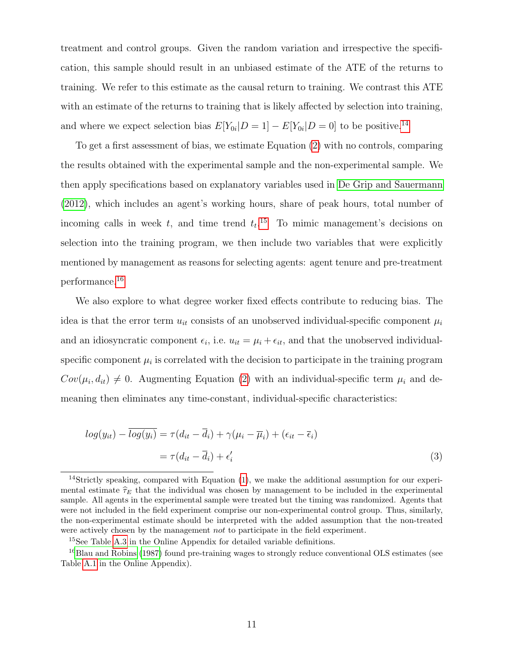treatment and control groups. Given the random variation and irrespective the specification, this sample should result in an unbiased estimate of the ATE of the returns to training. We refer to this estimate as the causal return to training. We contrast this ATE with an estimate of the returns to training that is likely affected by selection into training, and where we expect selection bias  $E[Y_{0i}|D=1] - E[Y_{0i}|D=0]$  to be positive.<sup>[14](#page--1-0)</sup>

To get a first assessment of bias, we estimate Equation [\(2\)](#page-12-0) with no controls, comparing the results obtained with the experimental sample and the non-experimental sample. We then apply specifications based on explanatory variables used in [De Grip and Sauermann](#page-26-2) [\(2012\)](#page-26-2), which includes an agent's working hours, share of peak hours, total number of incoming calls in week t, and time trend  $t_t$ <sup>[15](#page--1-0)</sup> To mimic management's decisions on selection into the training program, we then include two variables that were explicitly mentioned by management as reasons for selecting agents: agent tenure and pre-treatment performance.[16](#page--1-0)

We also explore to what degree worker fixed effects contribute to reducing bias. The idea is that the error term  $u_{it}$  consists of an unobserved individual-specific component  $\mu_i$ and an idiosyncratic component  $\epsilon_i$ , i.e.  $u_{it} = \mu_i + \epsilon_{it}$ , and that the unobserved individualspecific component  $\mu_i$  is correlated with the decision to participate in the training program  $Cov(\mu_i, d_{it}) \neq 0$ . Augmenting Equation [\(2\)](#page-12-0) with an individual-specific term  $\mu_i$  and demeaning then eliminates any time-constant, individual-specific characteristics:

<span id="page-13-0"></span>
$$
log(y_{it}) - \overline{log(y_i)} = \tau(d_{it} - \overline{d}_i) + \gamma(\mu_i - \overline{\mu}_i) + (\epsilon_{it} - \overline{\epsilon}_i)
$$
  
=  $\tau(d_{it} - \overline{d}_i) + \epsilon'_i$  (3)

<sup>14</sup>Strictly speaking, compared with Equation [\(1\)](#page-12-1), we make the additional assumption for our experimental estimate  $\hat{\tau}_E$  that the individual was chosen by management to be included in the experimental sample. All agents in the experimental sample were treated but the timing was randomized. Agents that were not included in the field experiment comprise our non-experimental control group. Thus, similarly, the non-experimental estimate should be interpreted with the added assumption that the non-treated were actively chosen by the management *not* to participate in the field experiment.

 $^{15}\mathrm{See}$  Table [A.3](#page-33-1) in the Online Appendix for detailed variable definitions.

<sup>&</sup>lt;sup>16</sup>[Blau and Robins](#page-24-6) [\(1987\)](#page-24-6) found pre-training wages to strongly reduce conventional OLS estimates (see Table [A.1](#page-31-0) in the Online Appendix).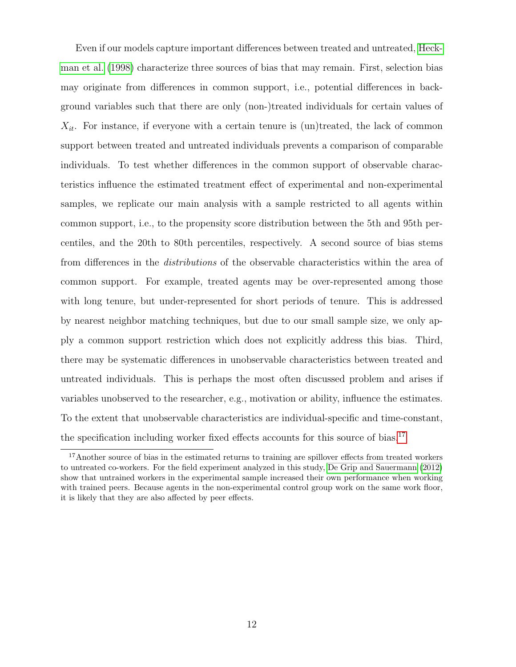Even if our models capture important differences between treated and untreated, [Heck](#page-27-1)[man et al.](#page-27-1) [\(1998\)](#page-27-1) characterize three sources of bias that may remain. First, selection bias may originate from differences in common support, i.e., potential differences in background variables such that there are only (non-)treated individuals for certain values of  $X_{it}$ . For instance, if everyone with a certain tenure is (un)treated, the lack of common support between treated and untreated individuals prevents a comparison of comparable individuals. To test whether differences in the common support of observable characteristics influence the estimated treatment effect of experimental and non-experimental samples, we replicate our main analysis with a sample restricted to all agents within common support, i.e., to the propensity score distribution between the 5th and 95th percentiles, and the 20th to 80th percentiles, respectively. A second source of bias stems from differences in the distributions of the observable characteristics within the area of common support. For example, treated agents may be over-represented among those with long tenure, but under-represented for short periods of tenure. This is addressed by nearest neighbor matching techniques, but due to our small sample size, we only apply a common support restriction which does not explicitly address this bias. Third, there may be systematic differences in unobservable characteristics between treated and untreated individuals. This is perhaps the most often discussed problem and arises if variables unobserved to the researcher, e.g., motivation or ability, influence the estimates. To the extent that unobservable characteristics are individual-specific and time-constant, the specification including worker fixed effects accounts for this source of bias.<sup>[17](#page--1-0)</sup>

<sup>&</sup>lt;sup>17</sup>Another source of bias in the estimated returns to training are spillover effects from treated workers to untreated co-workers. For the field experiment analyzed in this study, [De Grip and Sauermann](#page-26-2) [\(2012\)](#page-26-2) show that untrained workers in the experimental sample increased their own performance when working with trained peers. Because agents in the non-experimental control group work on the same work floor, it is likely that they are also affected by peer effects.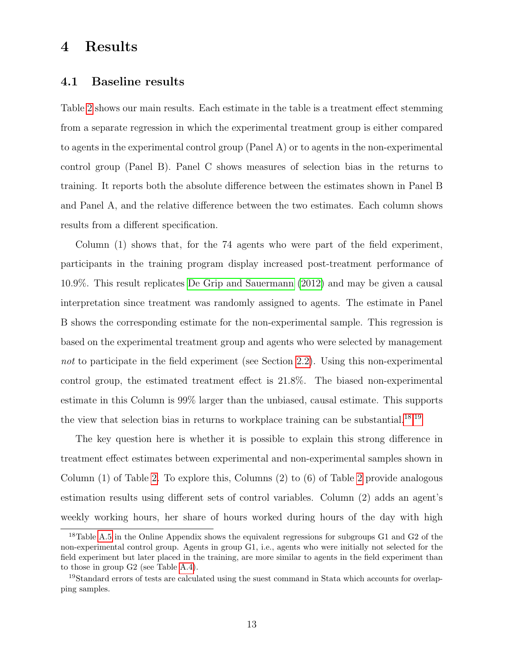## 4 Results

### 4.1 Baseline results

Table [2](#page-16-0) shows our main results. Each estimate in the table is a treatment effect stemming from a separate regression in which the experimental treatment group is either compared to agents in the experimental control group (Panel A) or to agents in the non-experimental control group (Panel B). Panel C shows measures of selection bias in the returns to training. It reports both the absolute difference between the estimates shown in Panel B and Panel A, and the relative difference between the two estimates. Each column shows results from a different specification.

Column (1) shows that, for the 74 agents who were part of the field experiment, participants in the training program display increased post-treatment performance of 10.9%. This result replicates [De Grip and Sauermann](#page-26-2) [\(2012\)](#page-26-2) and may be given a causal interpretation since treatment was randomly assigned to agents. The estimate in Panel B shows the corresponding estimate for the non-experimental sample. This regression is based on the experimental treatment group and agents who were selected by management not to participate in the field experiment (see Section [2.2\)](#page-9-0). Using this non-experimental control group, the estimated treatment effect is 21.8%. The biased non-experimental estimate in this Column is 99% larger than the unbiased, causal estimate. This supports the view that selection bias in returns to workplace training can be substantial.<sup>[18](#page--1-0),[19](#page--1-0)</sup>

The key question here is whether it is possible to explain this strong difference in treatment effect estimates between experimental and non-experimental samples shown in Column (1) of Table [2.](#page-16-0) To explore this, Columns (2) to (6) of Table [2](#page-16-0) provide analogous estimation results using different sets of control variables. Column (2) adds an agent's weekly working hours, her share of hours worked during hours of the day with high

<sup>&</sup>lt;sup>18</sup>Table [A.5](#page-34-1) in the Online Appendix shows the equivalent regressions for subgroups G1 and G2 of the non-experimental control group. Agents in group G1, i.e., agents who were initially not selected for the field experiment but later placed in the training, are more similar to agents in the field experiment than to those in group G2 (see Table [A.4\)](#page-34-0).

<sup>19</sup>Standard errors of tests are calculated using the suest command in Stata which accounts for overlapping samples.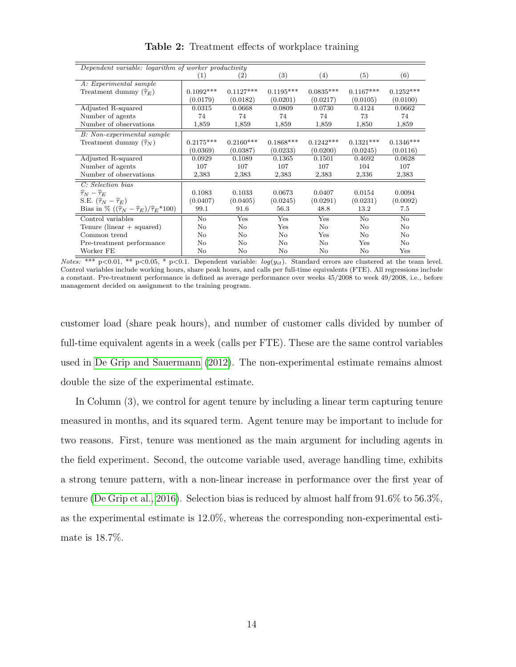<span id="page-16-0"></span>

| Dependent variable: logarithm of worker productivity           |             |                   |                   |                   |                |             |
|----------------------------------------------------------------|-------------|-------------------|-------------------|-------------------|----------------|-------------|
|                                                                | (1)         | $\left( 2\right)$ | $\left( 3\right)$ | $\left( 4\right)$ | (5)            | (6)         |
| A: Experimental sample                                         |             |                   |                   |                   |                |             |
| Treatment dummy $(\hat{\tau}_E)$                               | $0.1092***$ | $0.1127***$       | $0.1195***$       | $0.0835***$       | $0.1167***$    | $0.1252***$ |
|                                                                | (0.0179)    | (0.0182)          | (0.0201)          | (0.0217)          | (0.0105)       | (0.0100)    |
| Adjusted R-squared                                             | 0.0315      | 0.0668            | 0.0809            | 0.0730            | 0.4124         | 0.0662      |
| Number of agents                                               | 74          | 74                | 74                | 74                | 73             | 74          |
| Number of observations                                         | 1,859       | 1,859             | 1,859             | 1,859             | 1,850          | 1,859       |
| B: Non-experimental sample                                     |             |                   |                   |                   |                |             |
| Treatment dummy $(\hat{\tau}_N)$                               | $0.2175***$ | $0.2160***$       | $0.1868***$       | $0.1242***$       | $0.1321***$    | $0.1346***$ |
|                                                                | (0.0369)    | (0.0387)          | (0.0233)          | (0.0200)          | (0.0245)       | (0.0116)    |
| Adjusted R-squared                                             | 0.0929      | 0.1089            | 0.1365            | 0.1501            | 0.4692         | 0.0628      |
| Number of agents                                               | 107         | 107               | 107               | 107               | 104            | 107         |
| Number of observations                                         | 2,383       | 2,383             | 2,383             | 2,383             | 2,336          | 2,383       |
| C: Selection bias                                              |             |                   |                   |                   |                |             |
| $\widehat{\tau}_N-\widehat{\tau}_E$                            | 0.1083      | 0.1033            | 0.0673            | 0.0407            | 0.0154         | 0.0094      |
| S.E. $(\widehat{\tau}_N - \widehat{\tau}_E)$                   | (0.0407)    | (0.0405)          | (0.0245)          | (0.0291)          | (0.0231)       | (0.0092)    |
| Bias in % $((\hat{\tau}_N - \hat{\tau}_E)/\hat{\tau}_E * 100)$ | 99.1        | 91.6              | 56.3              | 48.8              | 13.2           | 7.5         |
| Control variables                                              | $\rm No$    | Yes               | Yes               | Yes               | N <sub>o</sub> | $\rm No$    |
| Tenure (linear $+$ squared)                                    | $\rm No$    | No                | Yes               | No                | No             | No          |
| Common trend                                                   | No          | No                | No                | Yes               | No             | No          |
| Pre-treatment performance                                      | No          | No                | No                | No                | Yes            | No          |
| Worker FE                                                      | No          | No                | No                | No                | No             | Yes         |

Table 2: Treatment effects of workplace training

customer load (share peak hours), and number of customer calls divided by number of full-time equivalent agents in a week (calls per FTE). These are the same control variables used in [De Grip and Sauermann](#page-26-2) [\(2012\)](#page-26-2). The non-experimental estimate remains almost double the size of the experimental estimate.

In Column (3), we control for agent tenure by including a linear term capturing tenure measured in months, and its squared term. Agent tenure may be important to include for two reasons. First, tenure was mentioned as the main argument for including agents in the field experiment. Second, the outcome variable used, average handling time, exhibits a strong tenure pattern, with a non-linear increase in performance over the first year of tenure [\(De Grip et al., 2016\)](#page-26-7). Selection bias is reduced by almost half from 91.6% to 56.3%, as the experimental estimate is 12.0%, whereas the corresponding non-experimental estimate is 18.7%.

Notes: \*\*\* p<0.01, \*\* p<0.05, \* p<0.1. Dependent variable:  $log(y_{it})$ . Standard errors are clustered at the team level. Control variables include working hours, share peak hours, and calls per full-time equivalents (FTE). All regressions include a constant. Pre-treatment performance is defined as average performance over weeks 45/2008 to week 49/2008, i.e., before management decided on assignment to the training program.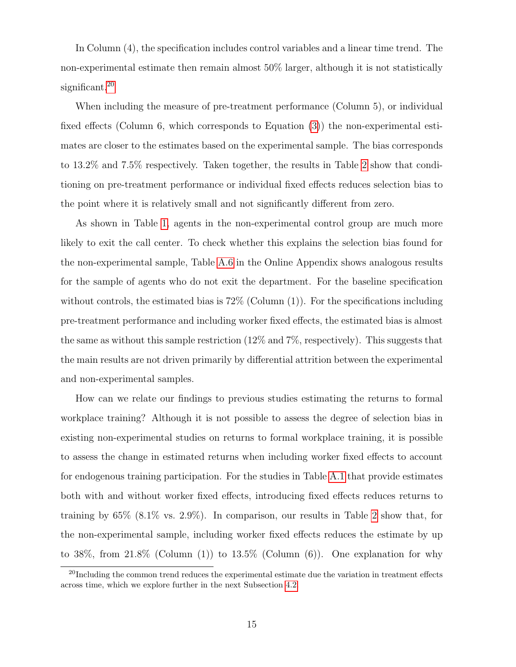In Column (4), the specification includes control variables and a linear time trend. The non-experimental estimate then remain almost 50% larger, although it is not statistically significant.<sup>[20](#page--1-0)</sup>

When including the measure of pre-treatment performance (Column 5), or individual fixed effects (Column 6, which corresponds to Equation [\(3\)](#page-13-0)) the non-experimental estimates are closer to the estimates based on the experimental sample. The bias corresponds to 13.2% and 7.5% respectively. Taken together, the results in Table [2](#page-16-0) show that conditioning on pre-treatment performance or individual fixed effects reduces selection bias to the point where it is relatively small and not significantly different from zero.

As shown in Table [1,](#page-10-0) agents in the non-experimental control group are much more likely to exit the call center. To check whether this explains the selection bias found for the non-experimental sample, Table [A.6](#page-35-0) in the Online Appendix shows analogous results for the sample of agents who do not exit the department. For the baseline specification without controls, the estimated bias is  $72\%$  (Column  $(1)$ ). For the specifications including pre-treatment performance and including worker fixed effects, the estimated bias is almost the same as without this sample restriction  $(12\% \text{ and } 7\%$ , respectively). This suggests that the main results are not driven primarily by differential attrition between the experimental and non-experimental samples.

How can we relate our findings to previous studies estimating the returns to formal workplace training? Although it is not possible to assess the degree of selection bias in existing non-experimental studies on returns to formal workplace training, it is possible to assess the change in estimated returns when including worker fixed effects to account for endogenous training participation. For the studies in Table [A.1](#page-31-0) that provide estimates both with and without worker fixed effects, introducing fixed effects reduces returns to training by  $65\%$   $(8.1\% \text{ vs. } 2.9\%)$  $(8.1\% \text{ vs. } 2.9\%)$  $(8.1\% \text{ vs. } 2.9\%)$ . In comparison, our results in Table 2 show that, for the non-experimental sample, including worker fixed effects reduces the estimate by up to 38%, from  $21.8\%$  (Column (1)) to  $13.5\%$  (Column (6)). One explanation for why

 $^{20}$ Including the common trend reduces the experimental estimate due the variation in treatment effects across time, which we explore further in the next Subsection [4.2.](#page-18-0)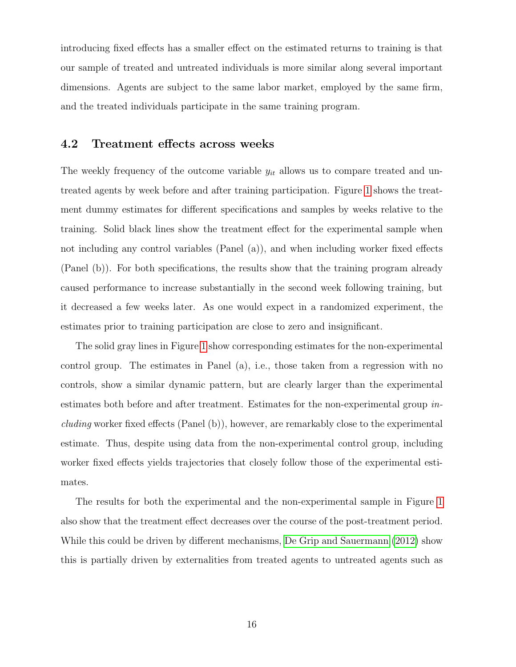introducing fixed effects has a smaller effect on the estimated returns to training is that our sample of treated and untreated individuals is more similar along several important dimensions. Agents are subject to the same labor market, employed by the same firm, and the treated individuals participate in the same training program.

#### <span id="page-18-0"></span>4.2 Treatment effects across weeks

The weekly frequency of the outcome variable  $y_{it}$  allows us to compare treated and untreated agents by week before and after training participation. Figure [1](#page-19-0) shows the treatment dummy estimates for different specifications and samples by weeks relative to the training. Solid black lines show the treatment effect for the experimental sample when not including any control variables (Panel (a)), and when including worker fixed effects (Panel (b)). For both specifications, the results show that the training program already caused performance to increase substantially in the second week following training, but it decreased a few weeks later. As one would expect in a randomized experiment, the estimates prior to training participation are close to zero and insignificant.

The solid gray lines in Figure [1](#page-19-0) show corresponding estimates for the non-experimental control group. The estimates in Panel (a), i.e., those taken from a regression with no controls, show a similar dynamic pattern, but are clearly larger than the experimental estimates both before and after treatment. Estimates for the non-experimental group including worker fixed effects (Panel (b)), however, are remarkably close to the experimental estimate. Thus, despite using data from the non-experimental control group, including worker fixed effects yields trajectories that closely follow those of the experimental estimates.

The results for both the experimental and the non-experimental sample in Figure [1](#page-19-0) also show that the treatment effect decreases over the course of the post-treatment period. While this could be driven by different mechanisms, [De Grip and Sauermann](#page-26-2) [\(2012\)](#page-26-2) show this is partially driven by externalities from treated agents to untreated agents such as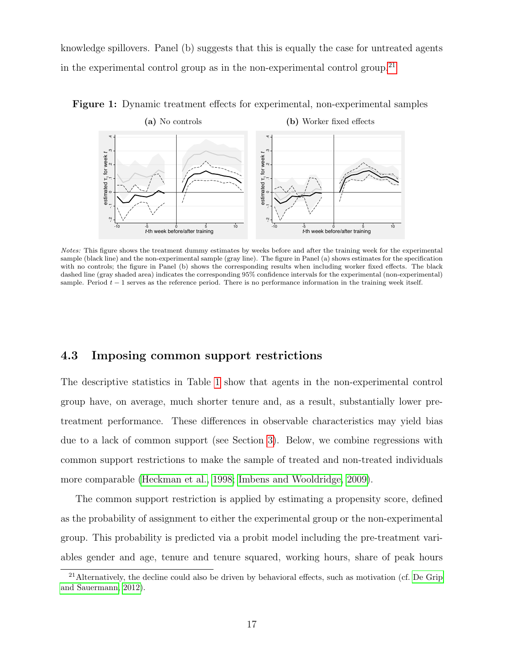knowledge spillovers. Panel (b) suggests that this is equally the case for untreated agents in the experimental control group as in the non-experimental control group.<sup>[21](#page--1-0)</sup>



<span id="page-19-0"></span>Figure 1: Dynamic treatment effects for experimental, non-experimental samples

Notes: This figure shows the treatment dummy estimates by weeks before and after the training week for the experimental sample (black line) and the non-experimental sample (gray line). The figure in Panel (a) shows estimates for the specification with no controls; the figure in Panel (b) shows the corresponding results when including worker fixed effects. The black dashed line (gray shaded area) indicates the corresponding 95% confidence intervals for the experimental (non-experimental) sample. Period  $t - 1$  serves as the reference period. There is no performance information in the training week itself.

#### 4.3 Imposing common support restrictions

The descriptive statistics in Table [1](#page-10-0) show that agents in the non-experimental control group have, on average, much shorter tenure and, as a result, substantially lower pretreatment performance. These differences in observable characteristics may yield bias due to a lack of common support (see Section [3\)](#page-11-0). Below, we combine regressions with common support restrictions to make the sample of treated and non-treated individuals more comparable [\(Heckman et al., 1998;](#page-27-1) [Imbens and Wooldridge, 2009\)](#page-27-6).

The common support restriction is applied by estimating a propensity score, defined as the probability of assignment to either the experimental group or the non-experimental group. This probability is predicted via a probit model including the pre-treatment variables gender and age, tenure and tenure squared, working hours, share of peak hours

<sup>21</sup>Alternatively, the decline could also be driven by behavioral effects, such as motivation (cf. [De Grip](#page-26-2) [and Sauermann, 2012\)](#page-26-2).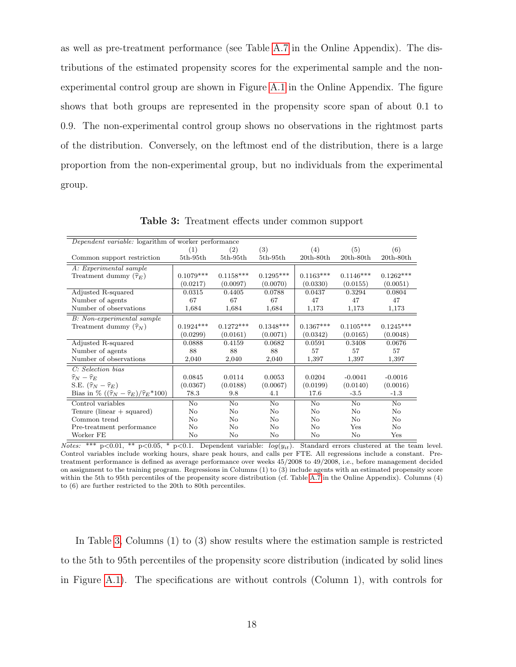as well as pre-treatment performance (see Table [A.7](#page-35-1) in the Online Appendix). The distributions of the estimated propensity scores for the experimental sample and the nonexperimental control group are shown in Figure [A.1](#page-30-0) in the Online Appendix. The figure shows that both groups are represented in the propensity score span of about 0.1 to 0.9. The non-experimental control group shows no observations in the rightmost parts of the distribution. Conversely, on the leftmost end of the distribution, there is a large proportion from the non-experimental group, but no individuals from the experimental group.

<span id="page-20-0"></span>

| Dependent variable: logarithm of worker performance            |                |             |             |             |             |             |
|----------------------------------------------------------------|----------------|-------------|-------------|-------------|-------------|-------------|
|                                                                | (1)            | (2)         | (3)         | (4)         | (5)         | (6)         |
| Common support restriction                                     | $5th-95th$     | $5th-95th$  | $5th-95th$  | $20th-80th$ | $20th-80th$ | $20th-80th$ |
| A: Experimental sample                                         |                |             |             |             |             |             |
| Treatment dummy $(\hat{\tau}_E)$                               | $0.1079***$    | $0.1158***$ | $0.1295***$ | $0.1163***$ | $0.1146***$ | $0.1262***$ |
|                                                                | (0.0217)       | (0.0097)    | (0.0070)    | (0.0330)    | (0.0155)    | (0.0051)    |
| Adjusted R-squared                                             | 0.0315         | 0.4405      | 0.0788      | 0.0437      | 0.3294      | 0.0804      |
| Number of agents                                               | 67             | 67          | 67          | 47          | 47          | 47          |
| Number of observations                                         | 1,684          | 1,684       | 1,684       | 1,173       | 1,173       | 1,173       |
| B: Non-experimental sample                                     |                |             |             |             |             |             |
| Treatment dummy $(\widehat{\tau}_N)$                           | $0.1924***$    | $0.1272***$ | $0.1348***$ | $0.1367***$ | $0.1105***$ | $0.1245***$ |
|                                                                | (0.0299)       | (0.0161)    | (0.0071)    | (0.0342)    | (0.0165)    | (0.0048)    |
| Adjusted R-squared                                             | 0.0888         | 0.4159      | 0.0682      | 0.0591      | 0.3408      | 0.0676      |
| Number of agents                                               | 88             | 88          | 88          | 57          | 57          | 57          |
| Number of observations                                         | 2,040          | 2,040       | 2,040       | 1,397       | 1,397       | 1,397       |
| C: Selection bias                                              |                |             |             |             |             |             |
| $\widehat{\tau}_N - \widehat{\tau}_E$                          | 0.0845         | 0.0114      | 0.0053      | 0.0204      | $-0.0041$   | $-0.0016$   |
| S.E. $(\hat{\tau}_N - \hat{\tau}_E)$                           | (0.0367)       | (0.0188)    | (0.0067)    | (0.0199)    | (0.0140)    | (0.0016)    |
| Bias in % $((\hat{\tau}_N - \hat{\tau}_E)/\hat{\tau}_E * 100)$ | 78.3           | 9.8         | 4.1         | 17.6        | $-3.5$      | $-1.3$      |
| Control variables                                              | $\rm No$       | No          | No          | No          | $\rm No$    | No          |
| Tenure (linear $+$ squared)                                    | No             | No          | No          | No          | $\rm No$    | No          |
| Common trend                                                   | $\rm No$       | No          | No          | No          | $\rm No$    | No          |
| Pre-treatment performance                                      | N <sub>o</sub> | No          | No          | No          | Yes         | No          |
| Worker FE                                                      | No             | No          | No          | No          | No          | Yes         |

Table 3: Treatment effects under common support

 $Notes:$  \*\*\* p<0.01, \*\* p<0.05, \* p<0.1. Dependent variable:  $log(y_{it})$ . Standard errors clustered at the team level. Control variables include working hours, share peak hours, and calls per FTE. All regressions include a constant. Pretreatment performance is defined as average performance over weeks 45/2008 to 49/2008, i.e., before management decided on assignment to the training program. Regressions in Columns (1) to (3) include agents with an estimated propensity score within the 5th to 95th percentiles of the propensity score distribution (cf. Table [A.7](#page-35-1) in the Online Appendix). Columns (4) to (6) are further restricted to the 20th to 80th percentiles.

In Table [3,](#page-20-0) Columns (1) to (3) show results where the estimation sample is restricted to the 5th to 95th percentiles of the propensity score distribution (indicated by solid lines in Figure [A.1\)](#page-30-0). The specifications are without controls (Column 1), with controls for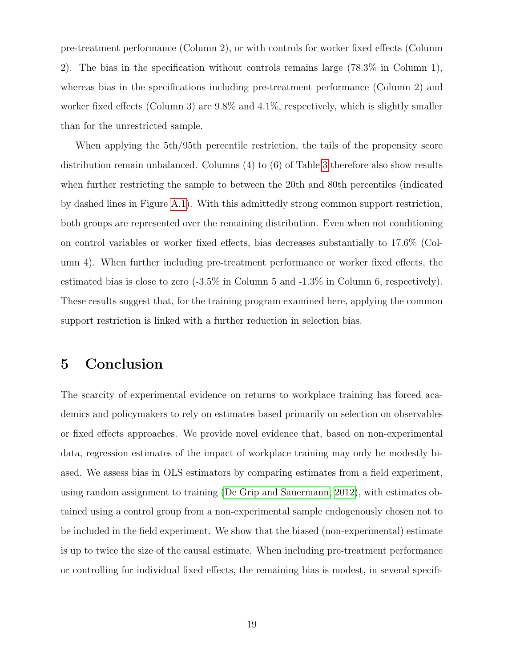pre-treatment performance (Column 2), or with controls for worker fixed effects (Column 2). The bias in the specification without controls remains large (78.3% in Column 1), whereas bias in the specifications including pre-treatment performance (Column 2) and worker fixed effects (Column 3) are 9.8% and 4.1%, respectively, which is slightly smaller than for the unrestricted sample.

When applying the 5th/95th percentile restriction, the tails of the propensity score distribution remain unbalanced. Columns (4) to (6) of Table [3](#page-20-0) therefore also show results when further restricting the sample to between the 20th and 80th percentiles (indicated by dashed lines in Figure [A.1\)](#page-30-0). With this admittedly strong common support restriction, both groups are represented over the remaining distribution. Even when not conditioning on control variables or worker fixed effects, bias decreases substantially to 17.6% (Column 4). When further including pre-treatment performance or worker fixed effects, the estimated bias is close to zero (-3.5% in Column 5 and -1.3% in Column 6, respectively). These results suggest that, for the training program examined here, applying the common support restriction is linked with a further reduction in selection bias.

## 5 Conclusion

The scarcity of experimental evidence on returns to workplace training has forced academics and policymakers to rely on estimates based primarily on selection on observables or fixed effects approaches. We provide novel evidence that, based on non-experimental data, regression estimates of the impact of workplace training may only be modestly biased. We assess bias in OLS estimators by comparing estimates from a field experiment, using random assignment to training [\(De Grip and Sauermann, 2012\)](#page-26-2), with estimates obtained using a control group from a non-experimental sample endogenously chosen not to be included in the field experiment. We show that the biased (non-experimental) estimate is up to twice the size of the causal estimate. When including pre-treatment performance or controlling for individual fixed effects, the remaining bias is modest, in several specifi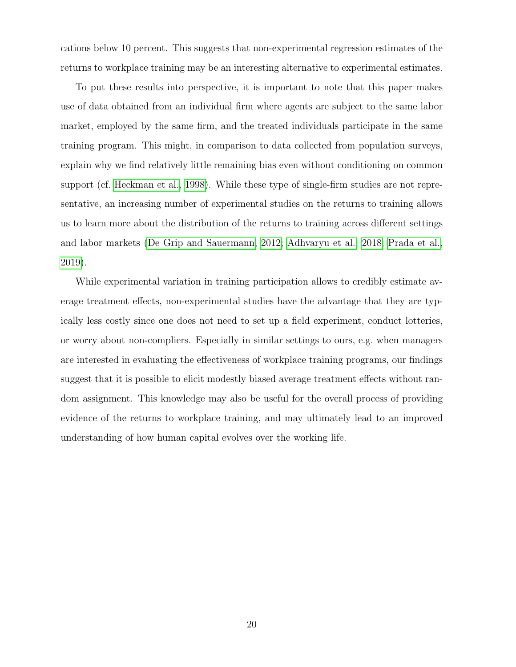cations below 10 percent. This suggests that non-experimental regression estimates of the returns to workplace training may be an interesting alternative to experimental estimates.

To put these results into perspective, it is important to note that this paper makes use of data obtained from an individual firm where agents are subject to the same labor market, employed by the same firm, and the treated individuals participate in the same training program. This might, in comparison to data collected from population surveys, explain why we find relatively little remaining bias even without conditioning on common support (cf. [Heckman et al., 1998\)](#page-27-1). While these type of single-firm studies are not representative, an increasing number of experimental studies on the returns to training allows us to learn more about the distribution of the returns to training across different settings and labor markets [\(De Grip and Sauermann, 2012;](#page-26-2) [Adhvaryu et al., 2018;](#page-23-2) [Prada et al.,](#page-29-1) [2019\)](#page-29-1).

While experimental variation in training participation allows to credibly estimate average treatment effects, non-experimental studies have the advantage that they are typically less costly since one does not need to set up a field experiment, conduct lotteries, or worry about non-compliers. Especially in similar settings to ours, e.g. when managers are interested in evaluating the effectiveness of workplace training programs, our findings suggest that it is possible to elicit modestly biased average treatment effects without random assignment. This knowledge may also be useful for the overall process of providing evidence of the returns to workplace training, and may ultimately lead to an improved understanding of how human capital evolves over the working life.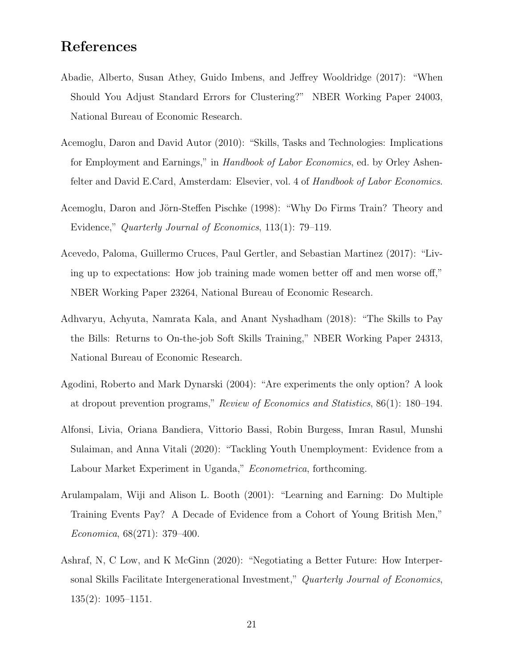## References

- <span id="page-23-7"></span>Abadie, Alberto, Susan Athey, Guido Imbens, and Jeffrey Wooldridge (2017): "When Should You Adjust Standard Errors for Clustering?" NBER Working Paper 24003, National Bureau of Economic Research.
- <span id="page-23-1"></span>Acemoglu, Daron and David Autor (2010): "Skills, Tasks and Technologies: Implications for Employment and Earnings," in Handbook of Labor Economics, ed. by Orley Ashenfelter and David E.Card, Amsterdam: Elsevier, vol. 4 of Handbook of Labor Economics.
- <span id="page-23-0"></span>Acemoglu, Daron and Jörn-Steffen Pischke (1998): "Why Do Firms Train? Theory and Evidence," Quarterly Journal of Economics, 113(1): 79–119.
- <span id="page-23-4"></span>Acevedo, Paloma, Guillermo Cruces, Paul Gertler, and Sebastian Martinez (2017): "Living up to expectations: How job training made women better off and men worse off," NBER Working Paper 23264, National Bureau of Economic Research.
- <span id="page-23-2"></span>Adhvaryu, Achyuta, Namrata Kala, and Anant Nyshadham (2018): "The Skills to Pay the Bills: Returns to On-the-job Soft Skills Training," NBER Working Paper 24313, National Bureau of Economic Research.
- <span id="page-23-3"></span>Agodini, Roberto and Mark Dynarski (2004): "Are experiments the only option? A look at dropout prevention programs," Review of Economics and Statistics, 86(1): 180–194.
- <span id="page-23-6"></span>Alfonsi, Livia, Oriana Bandiera, Vittorio Bassi, Robin Burgess, Imran Rasul, Munshi Sulaiman, and Anna Vitali (2020): "Tackling Youth Unemployment: Evidence from a Labour Market Experiment in Uganda," *Econometrica*, forthcoming.
- <span id="page-23-8"></span>Arulampalam, Wiji and Alison L. Booth (2001): "Learning and Earning: Do Multiple Training Events Pay? A Decade of Evidence from a Cohort of Young British Men," Economica, 68(271): 379–400.
- <span id="page-23-5"></span>Ashraf, N, C Low, and K McGinn (2020): "Negotiating a Better Future: How Interpersonal Skills Facilitate Intergenerational Investment," Quarterly Journal of Economics, 135(2): 1095–1151.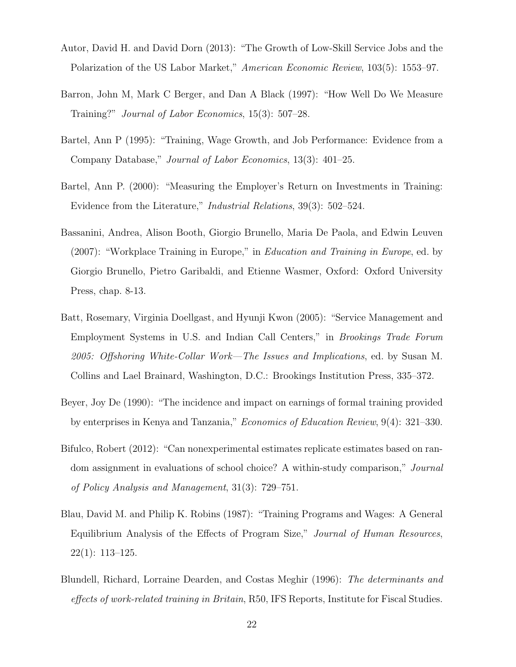- <span id="page-24-5"></span>Autor, David H. and David Dorn (2013): "The Growth of Low-Skill Service Jobs and the Polarization of the US Labor Market," American Economic Review, 103(5): 1553–97.
- <span id="page-24-7"></span>Barron, John M, Mark C Berger, and Dan A Black (1997): "How Well Do We Measure Training?" Journal of Labor Economics, 15(3): 507–28.
- <span id="page-24-3"></span>Bartel, Ann P (1995): "Training, Wage Growth, and Job Performance: Evidence from a Company Database," Journal of Labor Economics, 13(3): 401–25.
- <span id="page-24-2"></span>Bartel, Ann P. (2000): "Measuring the Employer's Return on Investments in Training: Evidence from the Literature," Industrial Relations, 39(3): 502–524.
- <span id="page-24-0"></span>Bassanini, Andrea, Alison Booth, Giorgio Brunello, Maria De Paola, and Edwin Leuven (2007): "Workplace Training in Europe," in Education and Training in Europe, ed. by Giorgio Brunello, Pietro Garibaldi, and Etienne Wasmer, Oxford: Oxford University Press, chap. 8-13.
- <span id="page-24-4"></span>Batt, Rosemary, Virginia Doellgast, and Hyunji Kwon (2005): "Service Management and Employment Systems in U.S. and Indian Call Centers," in Brookings Trade Forum 2005: Offshoring White-Collar Work—The Issues and Implications, ed. by Susan M. Collins and Lael Brainard, Washington, D.C.: Brookings Institution Press, 335–372.
- <span id="page-24-9"></span>Beyer, Joy De (1990): "The incidence and impact on earnings of formal training provided by enterprises in Kenya and Tanzania," Economics of Education Review, 9(4): 321–330.
- <span id="page-24-1"></span>Bifulco, Robert (2012): "Can nonexperimental estimates replicate estimates based on random assignment in evaluations of school choice? A within-study comparison," Journal of Policy Analysis and Management, 31(3): 729–751.
- <span id="page-24-6"></span>Blau, David M. and Philip K. Robins (1987): "Training Programs and Wages: A General Equilibrium Analysis of the Effects of Program Size," Journal of Human Resources, 22(1): 113–125.
- <span id="page-24-8"></span>Blundell, Richard, Lorraine Dearden, and Costas Meghir (1996): The determinants and effects of work-related training in Britain, R50, IFS Reports, Institute for Fiscal Studies.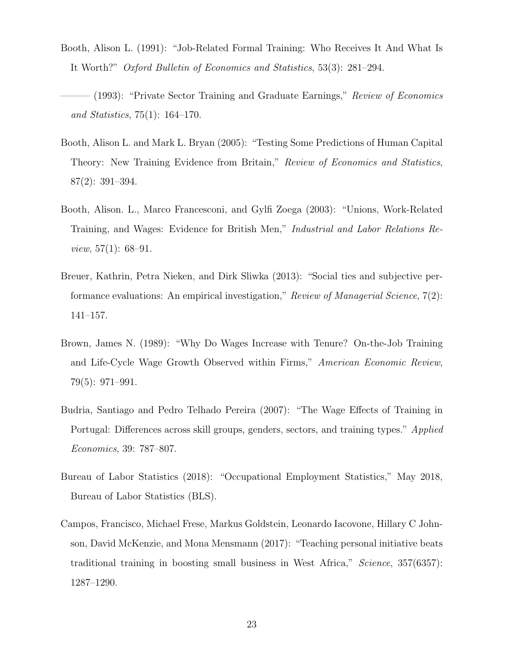- <span id="page-25-3"></span>Booth, Alison L. (1991): "Job-Related Formal Training: Who Receives It And What Is It Worth?" Oxford Bulletin of Economics and Statistics, 53(3): 281–294.
- <span id="page-25-4"></span>– (1993): "Private Sector Training and Graduate Earnings," Review of Economics and Statistics, 75(1): 164–170.
- <span id="page-25-5"></span>Booth, Alison L. and Mark L. Bryan (2005): "Testing Some Predictions of Human Capital Theory: New Training Evidence from Britain," Review of Economics and Statistics, 87(2): 391–394.
- <span id="page-25-6"></span>Booth, Alison. L., Marco Francesconi, and Gylfi Zoega (2003): "Unions, Work-Related Training, and Wages: Evidence for British Men," Industrial and Labor Relations Re*view*,  $57(1)$ :  $68-91$ .
- <span id="page-25-2"></span>Breuer, Kathrin, Petra Nieken, and Dirk Sliwka (2013): "Social ties and subjective performance evaluations: An empirical investigation," Review of Managerial Science, 7(2): 141–157.
- <span id="page-25-7"></span>Brown, James N. (1989): "Why Do Wages Increase with Tenure? On-the-Job Training and Life-Cycle Wage Growth Observed within Firms," American Economic Review, 79(5): 971–991.
- <span id="page-25-8"></span>Budria, Santiago and Pedro Telhado Pereira (2007): "The Wage Effects of Training in Portugal: Differences across skill groups, genders, sectors, and training types." Applied Economics, 39: 787–807.
- <span id="page-25-1"></span>Bureau of Labor Statistics (2018): "Occupational Employment Statistics," May 2018, Bureau of Labor Statistics (BLS).
- <span id="page-25-0"></span>Campos, Francisco, Michael Frese, Markus Goldstein, Leonardo Iacovone, Hillary C Johnson, David McKenzie, and Mona Mensmann (2017): "Teaching personal initiative beats traditional training in boosting small business in West Africa," Science, 357(6357): 1287–1290.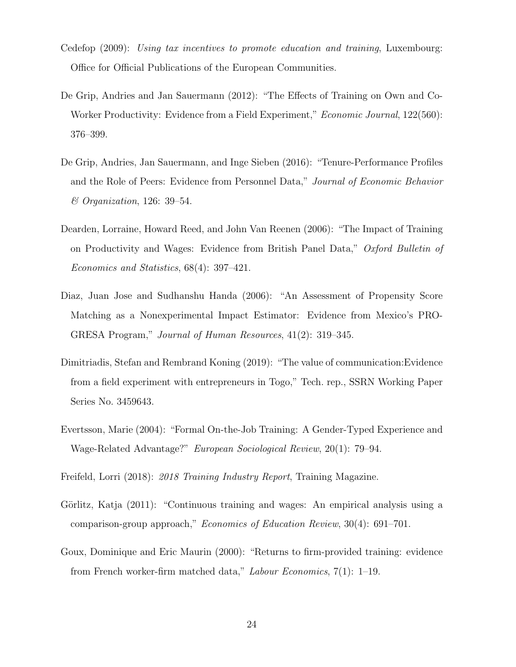- <span id="page-26-1"></span>Cedefop (2009): Using tax incentives to promote education and training, Luxembourg: Office for Official Publications of the European Communities.
- <span id="page-26-2"></span>De Grip, Andries and Jan Sauermann (2012): "The Effects of Training on Own and Co-Worker Productivity: Evidence from a Field Experiment," *Economic Journal*, 122(560): 376–399.
- <span id="page-26-7"></span>De Grip, Andries, Jan Sauermann, and Inge Sieben (2016): "Tenure-Performance Profiles and the Role of Peers: Evidence from Personnel Data," Journal of Economic Behavior & Organization, 126: 39–54.
- <span id="page-26-4"></span>Dearden, Lorraine, Howard Reed, and John Van Reenen (2006): "The Impact of Training on Productivity and Wages: Evidence from British Panel Data," Oxford Bulletin of Economics and Statistics, 68(4): 397–421.
- <span id="page-26-3"></span>Diaz, Juan Jose and Sudhanshu Handa (2006): "An Assessment of Propensity Score Matching as a Nonexperimental Impact Estimator: Evidence from Mexico's PRO-GRESA Program," Journal of Human Resources, 41(2): 319–345.
- <span id="page-26-6"></span>Dimitriadis, Stefan and Rembrand Koning (2019): "The value of communication:Evidence from a field experiment with entrepreneurs in Togo," Tech. rep., SSRN Working Paper Series No. 3459643.
- <span id="page-26-8"></span>Evertsson, Marie (2004): "Formal On-the-Job Training: A Gender-Typed Experience and Wage-Related Advantage?" European Sociological Review, 20(1): 79–94.

<span id="page-26-0"></span>Freifeld, Lorri (2018): 2018 Training Industry Report, Training Magazine.

- <span id="page-26-5"></span>Görlitz, Katja (2011): "Continuous training and wages: An empirical analysis using a comparison-group approach," Economics of Education Review, 30(4): 691–701.
- <span id="page-26-9"></span>Goux, Dominique and Eric Maurin (2000): "Returns to firm-provided training: evidence from French worker-firm matched data," Labour Economics, 7(1): 1–19.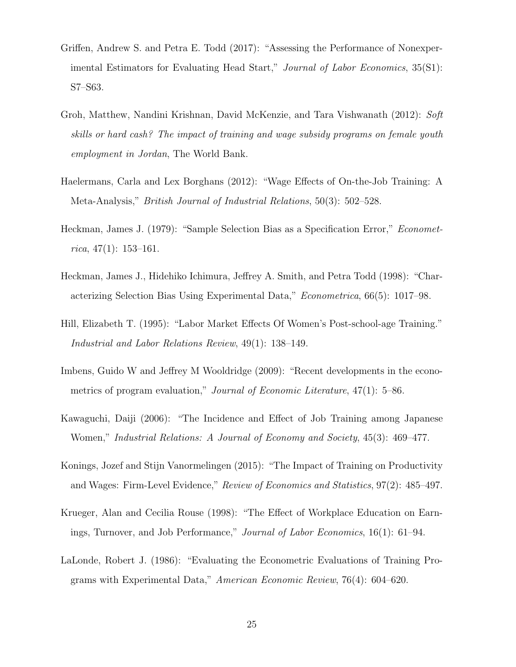- <span id="page-27-2"></span>Griffen, Andrew S. and Petra E. Todd (2017): "Assessing the Performance of Nonexperimental Estimators for Evaluating Head Start," Journal of Labor Economics, 35(S1): S7–S63.
- <span id="page-27-5"></span>Groh, Matthew, Nandini Krishnan, David McKenzie, and Tara Vishwanath (2012): Soft skills or hard cash? The impact of training and wage subsidy programs on female youth employment in Jordan, The World Bank.
- <span id="page-27-4"></span>Haelermans, Carla and Lex Borghans (2012): "Wage Effects of On-the-Job Training: A Meta-Analysis," British Journal of Industrial Relations, 50(3): 502–528.
- <span id="page-27-7"></span>Heckman, James J. (1979): "Sample Selection Bias as a Specification Error," Econometrica, 47 $(1)$ : 153-161.
- <span id="page-27-1"></span>Heckman, James J., Hidehiko Ichimura, Jeffrey A. Smith, and Petra Todd (1998): "Characterizing Selection Bias Using Experimental Data," Econometrica, 66(5): 1017–98.
- <span id="page-27-8"></span>Hill, Elizabeth T. (1995): "Labor Market Effects Of Women's Post-school-age Training." Industrial and Labor Relations Review, 49(1): 138–149.
- <span id="page-27-6"></span>Imbens, Guido W and Jeffrey M Wooldridge (2009): "Recent developments in the econometrics of program evaluation," *Journal of Economic Literature*, 47(1): 5–86.
- <span id="page-27-9"></span>Kawaguchi, Daiji (2006): "The Incidence and Effect of Job Training among Japanese Women," Industrial Relations: A Journal of Economy and Society, 45(3): 469–477.
- <span id="page-27-3"></span>Konings, Jozef and Stijn Vanormelingen (2015): "The Impact of Training on Productivity and Wages: Firm-Level Evidence," Review of Economics and Statistics, 97(2): 485–497.
- <span id="page-27-10"></span>Krueger, Alan and Cecilia Rouse (1998): "The Effect of Workplace Education on Earnings, Turnover, and Job Performance," Journal of Labor Economics, 16(1): 61–94.
- <span id="page-27-0"></span>LaLonde, Robert J. (1986): "Evaluating the Econometric Evaluations of Training Programs with Experimental Data," American Economic Review, 76(4): 604–620.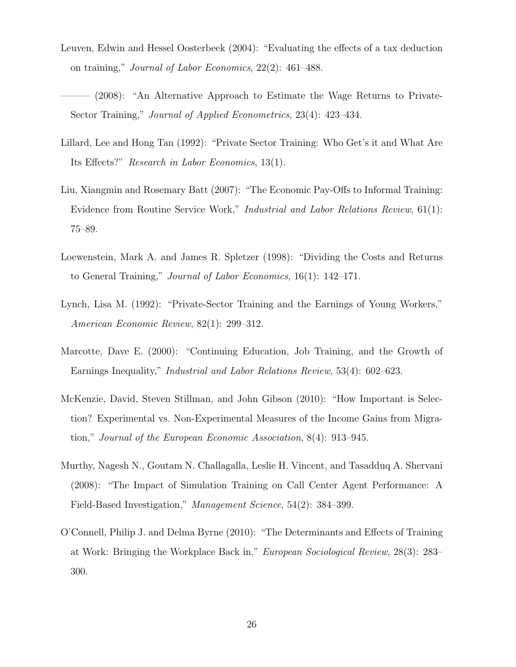- <span id="page-28-3"></span>Leuven, Edwin and Hessel Oosterbeek (2004): "Evaluating the effects of a tax deduction on training," Journal of Labor Economics, 22(2): 461–488.
- <span id="page-28-4"></span>- (2008): "An Alternative Approach to Estimate the Wage Returns to Private-Sector Training," Journal of Applied Econometrics, 23(4): 423–434.
- <span id="page-28-5"></span>Lillard, Lee and Hong Tan (1992): "Private Sector Training: Who Get's it and What Are Its Effects?" Research in Labor Economics, 13(1).
- <span id="page-28-1"></span>Liu, Xiangmin and Rosemary Batt (2007): "The Economic Pay-Offs to Informal Training: Evidence from Routine Service Work," Industrial and Labor Relations Review, 61(1): 75–89.
- <span id="page-28-6"></span>Loewenstein, Mark A. and James R. Spletzer (1998): "Dividing the Costs and Returns to General Training," Journal of Labor Economics, 16(1): 142–171.
- <span id="page-28-7"></span>Lynch, Lisa M. (1992): "Private-Sector Training and the Earnings of Young Workers," American Economic Review, 82(1): 299–312.
- <span id="page-28-8"></span>Marcotte, Dave E. (2000): "Continuing Education, Job Training, and the Growth of Earnings Inequality," Industrial and Labor Relations Review, 53(4): 602–623.
- <span id="page-28-2"></span>McKenzie, David, Steven Stillman, and John Gibson (2010): "How Important is Selection? Experimental vs. Non-Experimental Measures of the Income Gains from Migration," Journal of the European Economic Association, 8(4): 913–945.
- <span id="page-28-0"></span>Murthy, Nagesh N., Goutam N. Challagalla, Leslie H. Vincent, and Tasadduq A. Shervani (2008): "The Impact of Simulation Training on Call Center Agent Performance: A Field-Based Investigation," Management Science, 54(2): 384–399.
- <span id="page-28-9"></span>O'Connell, Philip J. and Delma Byrne (2010): "The Determinants and Effects of Training at Work: Bringing the Workplace Back in," European Sociological Review, 28(3): 283– 300.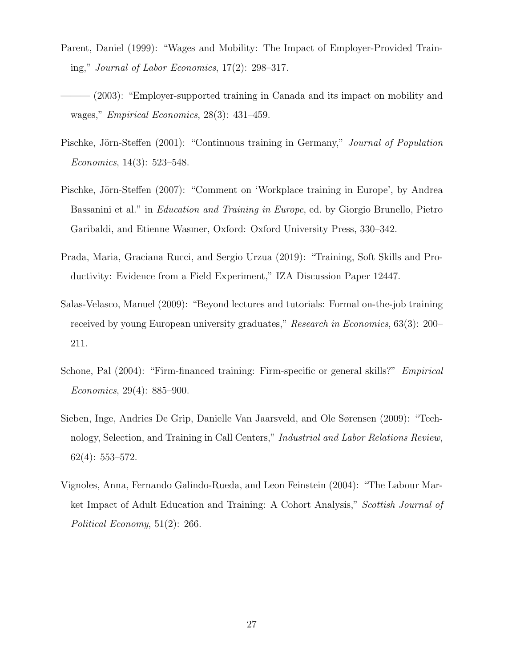- <span id="page-29-3"></span>Parent, Daniel (1999): "Wages and Mobility: The Impact of Employer-Provided Training," Journal of Labor Economics, 17(2): 298–317.
- <span id="page-29-4"></span>– (2003): "Employer-supported training in Canada and its impact on mobility and wages," *Empirical Economics*, 28(3): 431–459.
- <span id="page-29-5"></span>Pischke, Jörn-Steffen (2001): "Continuous training in Germany," *Journal of Population* Economics, 14(3): 523–548.
- <span id="page-29-0"></span>Pischke, Jörn-Steffen (2007): "Comment on 'Workplace training in Europe', by Andrea Bassanini et al." in Education and Training in Europe, ed. by Giorgio Brunello, Pietro Garibaldi, and Etienne Wasmer, Oxford: Oxford University Press, 330–342.
- <span id="page-29-1"></span>Prada, Maria, Graciana Rucci, and Sergio Urzua (2019): "Training, Soft Skills and Productivity: Evidence from a Field Experiment," IZA Discussion Paper 12447.
- <span id="page-29-6"></span>Salas-Velasco, Manuel (2009): "Beyond lectures and tutorials: Formal on-the-job training received by young European university graduates," Research in Economics, 63(3): 200– 211.
- <span id="page-29-7"></span>Schone, Pal (2004): "Firm-financed training: Firm-specific or general skills?" *Empirical* Economics, 29(4): 885–900.
- <span id="page-29-2"></span>Sieben, Inge, Andries De Grip, Danielle Van Jaarsveld, and Ole Sørensen (2009): "Technology, Selection, and Training in Call Centers," Industrial and Labor Relations Review, 62(4): 553–572.
- <span id="page-29-8"></span>Vignoles, Anna, Fernando Galindo-Rueda, and Leon Feinstein (2004): "The Labour Market Impact of Adult Education and Training: A Cohort Analysis," Scottish Journal of Political Economy, 51(2): 266.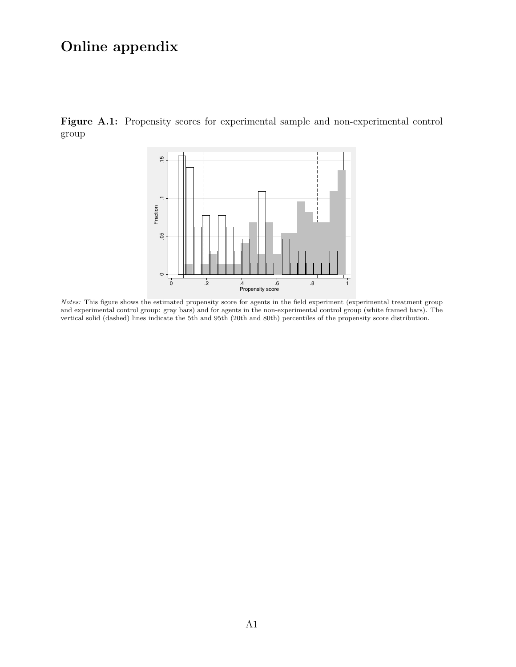## Online appendix

<span id="page-30-0"></span>Figure A.1: Propensity scores for experimental sample and non-experimental control group



Notes: This figure shows the estimated propensity score for agents in the field experiment (experimental treatment group and experimental control group: gray bars) and for agents in the non-experimental control group (white framed bars). The vertical solid (dashed) lines indicate the 5th and 95th (20th and 80th) percentiles of the propensity score distribution.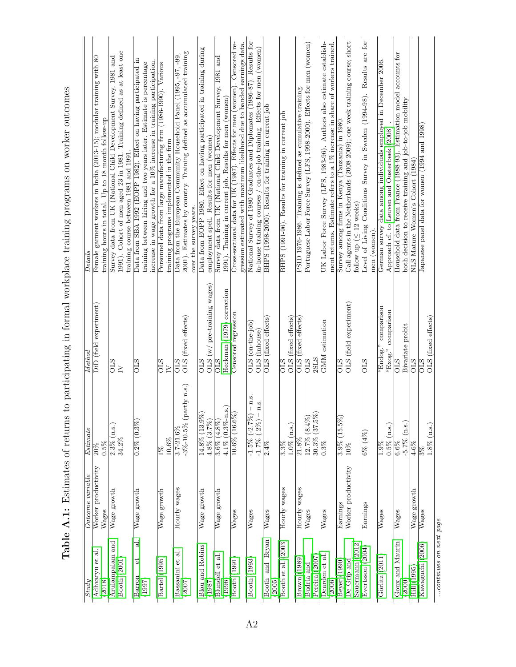<span id="page-31-0"></span>

| Study                            | Outcome variable                | Estimate                                                        | Method                                           | Details                                                                                                                                                                                                         |
|----------------------------------|---------------------------------|-----------------------------------------------------------------|--------------------------------------------------|-----------------------------------------------------------------------------------------------------------------------------------------------------------------------------------------------------------------|
| ಸ<br>Adhvaryu et<br>(2018)       | Worker productivity<br>Wages    | 0.5%<br>20%                                                     | DiD (field experiment)                           | 80<br>Female garment workers in India (2013-15); modular training with<br>training hours in total. Up to 18 month follow-up                                                                                     |
| Arulampalam and<br>Booth (2001)  | Wage growth                     | $2.3\%$ (n.s.)<br>34.2%                                         | <b>OLS</b><br>$\geq$                             | 1991). Cohort of men aged 23 in 1981. Training defined as at least one<br>Survey data from UK (National Child Development Survey, 1981 and<br>training course between 1981 and 1991.                            |
| ತ<br>t<br>Barron<br>(1997)       | Wage growth                     | $0.2\%$ $(0.3\%)$                                               | <b>OLS</b>                                       | Data from SBA 1992 (EOPP 1982). Effect on having participated in<br>increase in wage growth for a 10% increase in training participation<br>training between hiring and two years later. Estimate is percentage |
| Bartel (1995)                    | Wage growth                     | $10.6\%$<br>$\frac{8}{2}$                                       | $\frac{1}{5}$<br>$\overline{N}$                  | Personnel data from large manufacturing firm (1986-1990). Various<br>training programs implemented in the firm                                                                                                  |
| ಸ<br>Bassanini et<br>(2007)      | Hourly wages                    | $-3\% -10.5\%$ (partly n.s.)<br>$3.7 - 21.6%$                   | OLS (fixed effects)<br><b>CLS</b>                | 2001). Estimates by country. Training defined as accumulated training<br>Data from the European Community Household Panel (1995, -97, -99,<br>over the survey years.                                            |
| <b>Blau and Robins</b><br>(1987) | Wage growth                     | $14.8\%$ $(13.9\%)$<br>$4.8\%$ (3.7%)                           | $(w /$ pre-training wages)<br>OLS<br><b>STO</b>  | Data from EOPP 1980. Effect on having participated in training during<br>employment spell. Results for men (women)                                                                                              |
| Blundell et al<br>(1996)         | $W$ age growth                  | $4.1\%$ (0.3%-n.s.)<br>$3.6\%$ $(4.8\%)$                        | Heckman (1979) correction<br>ОLS                 | Survey data from UK (National Child Development Survey, 1981 and<br>1991). Training in current job. Results for men (women)                                                                                     |
| Booth (1991)                     | $\overline{\text{W}}$ ages      | $10.6\% (16.6\%)$                                               | Censored regression                              | Cross-sectional data for UK (1987). Effects for men (women). Censored re-<br>gression estimated with maximum likelihood due to banded earnings data.                                                            |
| Booth (1993)                     | Wages                           | $-$ n.s.<br>n.s.<br>$-1.5\%$ $(-2.7\%)$<br>$(.2\%)$<br>$-1.7\%$ | $OLS (on-the-job)$<br>(inhouse)<br><b>OLS</b>    | National Survey of 1980 Graduates and Diplomates (1986-87). Results for<br>(on-the-job training. Effects for men (women)<br>in-house training courses                                                           |
| Bryan<br>Booth and<br>(2005)     | Wages                           | 2.4%                                                            | OLS (fixed effects)                              | BHPS (1998-2000). Results for training in current job                                                                                                                                                           |
| Booth et al. (2003)              | Hourly wages                    | $1.0\%$ (n.s.)<br>3.3%                                          | (fixed effects)<br><b>OLS</b><br><b>CTO</b>      | BHPS (1991-96). Results for training in current job                                                                                                                                                             |
| Brown (1989)                     | Hourly wages                    | 21.8%                                                           | (fixed effects)<br><b>CTO</b>                    | PSID 1976-1986. Training is defined as cumulative training.                                                                                                                                                     |
| Pereira (2007)<br>Budria and     | Wages                           | $30.3\%$ $(37.5\%)$<br>12.7% $(8.4\%)$                          | 2SLS<br><b>OLS</b>                               | Portuguese Labor Force Survey (LFS, 1998-2000). Effects for men (women)                                                                                                                                         |
| Dearden et al<br>(2006)          | Wages                           | 0.3%                                                            | GMM estimation                                   | ment returns. Estimate refers to a 1% increase in share of workers trained.<br>UK Labor Force Survey (LFS, 1983-96). Authors also estimate establish-                                                           |
| Beyer (1990)                     | Earnings                        | $(15.5\%)$<br>3.9%                                              | ОLS                                              | Survey among firms in Kenya (Tanzania) in 1980.                                                                                                                                                                 |
| Sauermann (2012)<br>De Grip and  | Worker productivity             | $10\%$                                                          | OLS (field experiment)                           | Call agents in the Netherlands (2008-2009); one-week training course; short<br>follow-up ( $\leq 12$ weeks)                                                                                                     |
| Evertsson (2004)                 | $\overline{\mathrm{E}}$ arnings | $6\% (4\%)$                                                     | <b>CLS</b>                                       | Level of Living Conditions Survey in Sweden (1994-98). Results are for<br>men (women)                                                                                                                           |
| Görlitz (2011                    | Wages                           | $0.5\%$ (n.s.)<br>1.9%                                          | "Endog." comparison<br>comparison<br>" $Exog.$ " | German survey data among individuals employed in December 2006.<br>Approach cf. to Leuven and Oosterbeek (2008)                                                                                                 |
| Goux and Maurin<br>(2000)        | $\overline{\text{Wages}}$       | $-5.7\%$ (n.s.)<br>6.6%                                         | Bivariate probit<br><b>OLS</b>                   | Household data from France (1988-93). Estimation model accounts for<br>both decision to receive training and job-to-job mobility                                                                                |
| Hill (1995)                      | Wage growth                     | $4 - 6%$                                                        | <b>CLS</b>                                       | NLS Mature Women's Cohort (1984)                                                                                                                                                                                |
| Kawaguchi (2006)                 | Wages                           | $1.8\%$ (n.s.)                                                  | OLS (fixed effects)<br>STO                       | Japanese panel data for women (1994 and 1998)                                                                                                                                                                   |

Table A.1: Estimates of returns to participating in formal workplace training programs on worker outcomes Table A.1: Estimates of returns to participating in formal workplace training programs on worker outcomes

 $\ldots$ continues on next page ...continues on next page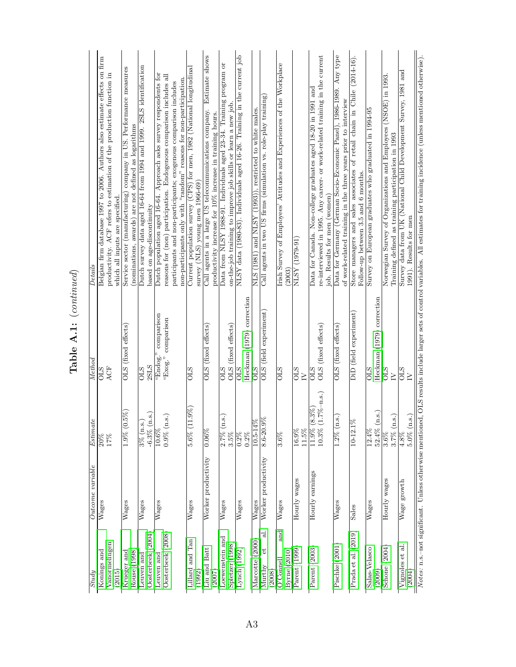| $_{Study}$                                | Outcome variable           | <b>Estimate</b>                                                | Method                                  | Details                                                                                                                                      |
|-------------------------------------------|----------------------------|----------------------------------------------------------------|-----------------------------------------|----------------------------------------------------------------------------------------------------------------------------------------------|
|                                           |                            | $\frac{8}{20\%}$                                               | <b>OLS</b>                              | Belgian firm database 1997 to 2006. Authors also estimate effects on firm                                                                    |
| Konings and                               | Wages                      |                                                                |                                         |                                                                                                                                              |
| Vanormelingen<br>(2015)                   |                            | $17\%$                                                         | ACF                                     | productivity. ACF refers to estimation of the production function in<br>which all inputs are specified.                                      |
| Rouse (1998)<br>Krueger and               | $\overline{\text{W}}$ ages | $(0.5\%)$<br>1.9%                                              | OLS (fixed effects)                     | Service sector (manufacturing) company in US. Performance measures<br>(nominations, awards) are not defined as logarithms                    |
| (2004)<br>Oosterbeek<br>Leuven and        | $\overline{\text{W}}$ ages | (n.s.)<br>$\ddot{\cdot}$<br>$\frac{3\%}{\text{ln}}$<br>$-6.3%$ | 2SLS<br><b>STO</b>                      | Dutch survey data aged 16-64 from 1994 and 1999. 2SLS identification<br>based on age-discontinuity                                           |
| Leuven and                                | $\overline{\text{W}}$ ages | 10.6%                                                          | comparison<br>"Endog."                  | Dutch population aged 16-64. Approach asks survey respondents for                                                                            |
| Oosterbeek (2008)                         |                            | $\left( n.$ s.<br>0.9%                                         | "Exog." comparison                      | reasons for (non) participation. Endogenous comparison includes all                                                                          |
|                                           |                            |                                                                |                                         | non-participants only with "random" reasons for non-participation<br>participants and non-participants; exogenous comparison includes        |
| Lillard and Tan<br>(1992)                 | Wages                      | $(11.9\%)$<br>5.6%                                             | STO                                     | Current population survey (CPS) for men, 1982 (National longitudinal<br>survey (NLS) young men $1966-69$ )                                   |
| Liu and Batt<br>(2007)                    | Worker productivity        | $0.06\%$                                                       | OLS (fixed effects)                     | Estimate shows<br>Call agents in a large US telecommunications company.<br>productivity increase for 10% increase in training hours.         |
| Loewenstein and                           | Wages                      | (n.s.)<br>2.7%                                                 | <b>CTO</b>                              | Data from NLSY 1988-91. Individuals aged 23-34. Training program or                                                                          |
| Spletzer (1998)                           |                            | $3.5\%$                                                        | (fixed effects)<br><b>CLS</b>           | on-the-job training to improve job skills or learn a new job                                                                                 |
| Lynch (1992)                              | $\overline{\text{W}}$ ages | $0.2\%$<br>$0.2\%$                                             | Heckman (1979) correction<br><b>CLS</b> | NLSY data (1980-83). Individuals aged 16-26. Training in the current job                                                                     |
| Marcotte (2000                            | $\overline{\text{W}}$ ages | $4\%$<br>$10.5 - 1$                                            | <b>CLS</b>                              | NLS (1981) and NLSY (1993)), restricted to white males.                                                                                      |
| ಸ<br>t<br>Murthy<br>(2008)                | Worker productivity        | $\frac{6}{36}$<br>$8.6 - 20$                                   | OLS (field experiment)                  | Call agents in two US firms (simulation vs. role-play training)                                                                              |
| and<br>Byrne (2010)<br>$O$ ' $\rm Comell$ | Wages                      | $3.6\%$                                                        | <b>OLS</b>                              | Irish Survey of Employees' Attitudes and Experiences of the Workplace<br>(2003)                                                              |
| Parent (1999)                             | Hourly wages               | 16.9%<br>11.5%                                                 | <b>STO</b><br>$\geq$                    | NLSY (1979-91)                                                                                                                               |
| Parent (2003)                             | Hourly earnings            | $(1.7\% - n.s.)$<br>$(8.3\%)$<br>11.9%<br>10.3%                | OLS (fixed effects)<br>STO              | re-interviewed in 1995. Any career- or work-related training in the current<br>Data for Canada. Non-college graduates aged 18-20 in 1991 and |
|                                           |                            |                                                                |                                         | job. Results for men (women)                                                                                                                 |
| Pischke (2001)                            | Wages                      | (n.s.)<br>$1.2\%$                                              | OLS (fixed effects)                     | Data for Germany (German Socio-Economic Panel), 1986-1989. Any type<br>of work-related training in the three years prior to interview        |
| Prada et al. (2019)                       | Sales                      | $1\%$<br>$10 - 12$                                             | DiD (field experiment)                  | Store managers and sales associates of retail chain in Chile (2014-16).<br>Follow-up between 3.5 and 6 months.                               |
| Salas-Velasco<br>(2009)                   | Wages                      | (n.s.)<br>12.4%<br>52.4%                                       | Heckman (1979) correction<br><b>CLS</b> | Survey on European graduates who graduated in 1994-95                                                                                        |
| Schone (2004)                             | Hourly wages               | (n.s.)<br>$3.6\%$<br>$3.7\%$                                   | <b>STO</b><br>$\geq$                    | Norwegian Survey of Organizations and Employees (NSOE) in 1993.<br>Training defined as training participation in 1993                        |
| Vignoles et al<br>(2004)                  | Wage growth                | (n.s.)<br>4.8%<br>$5.0\%$                                      | <b>OLS</b><br>$\geq$                    | Survey data from UK (National Child Development Survey, 1981 and<br>1991). Results for men                                                   |

Table A.1: (continued)  ${\bf Table\; A.1:} \;(continued)$  Notes: n.s.-not significant. Unless otherwise mentioned, OLS results include larger sets of control variables. All estimates for training incidence (unless mentioned otherwise). Notes: n.s.–not significant. Unless otherwise mentioned, OLS results include larger sets of control variables. All estimates for training incidence (unless mentioned otherwise).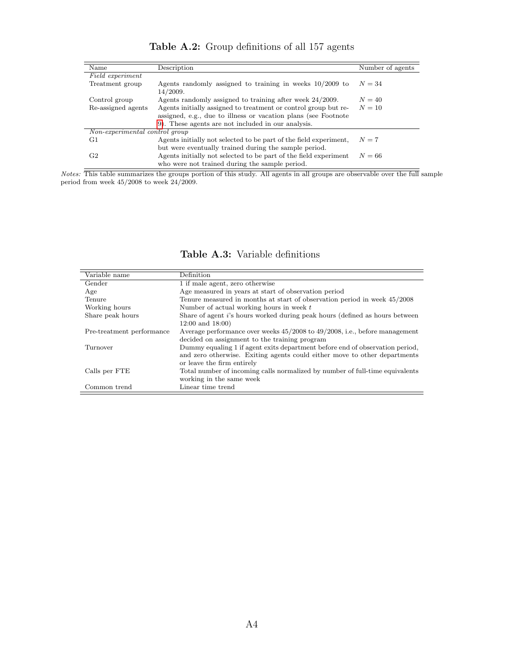<span id="page-33-0"></span>

| Name                           | Description                                                            | Number of agents |
|--------------------------------|------------------------------------------------------------------------|------------------|
| Field experiment               |                                                                        |                  |
| Treatment group                | Agents randomly assigned to training in weeks $10/2009$ to<br>14/2009. | $N=34$           |
| Control group                  | Agents randomly assigned to training after week 24/2009.               | $N=40$           |
| Re-assigned agents             | Agents initially assigned to treatment or control group but re-        | $N=10$           |
|                                | assigned, e.g., due to illness or vacation plans (see Footnote         |                  |
|                                | 9). These agents are not included in our analysis.                     |                  |
| Non-experimental control group |                                                                        |                  |
| G1                             | Agents initially not selected to be part of the field experiment,      | $N=7$            |
|                                | but were eventually trained during the sample period.                  |                  |
| G <sub>2</sub>                 | Agents initially not selected to be part of the field experiment       | $N=66$           |
|                                | who were not trained during the sample period.                         |                  |

Table A.2: Group definitions of all 157 agents

Notes: This table summarizes the groups portion of this study. All agents in all groups are observable over the full sample period from week 45/2008 to week 24/2009.

<span id="page-33-1"></span>

| Variable name             | Definition                                                                      |
|---------------------------|---------------------------------------------------------------------------------|
| Gender                    | 1 if male agent, zero otherwise                                                 |
| Age                       | Age measured in years at start of observation period                            |
| Tenure                    | Tenure measured in months at start of observation period in week 45/2008        |
| Working hours             | Number of actual working hours in week t                                        |
| Share peak hours          | Share of agent i's hours worked during peak hours (defined as hours between     |
|                           | $12:00$ and $18:00$ )                                                           |
| Pre-treatment performance | Average performance over weeks $45/2008$ to $49/2008$ , i.e., before management |
|                           | decided on assignment to the training program                                   |
| Turnover                  | Dummy equaling 1 if agent exits department before end of observation period,    |
|                           | and zero otherwise. Exiting agents could either move to other departments       |
|                           | or leave the firm entirely                                                      |
| Calls per FTE             | Total number of incoming calls normalized by number of full-time equivalents    |
|                           | working in the same week                                                        |
| Common trend              | Linear time trend                                                               |

Table A.3: Variable definitions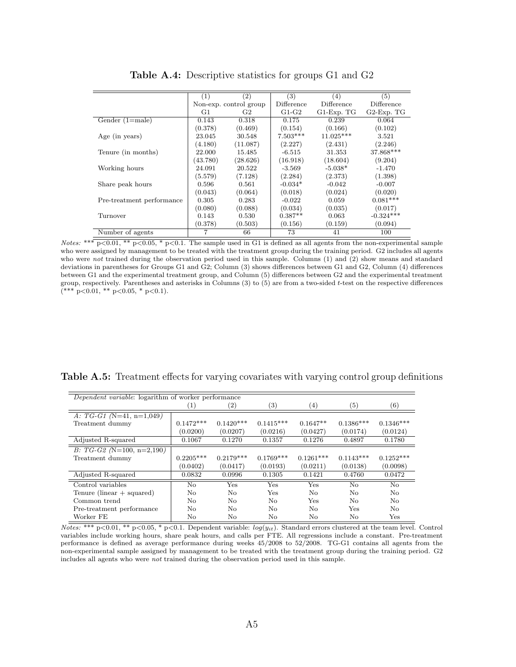<span id="page-34-0"></span>

|                           | (1)      | (2)                    | (3)        | (4)              | (5)              |
|---------------------------|----------|------------------------|------------|------------------|------------------|
|                           |          | Non-exp. control group | Difference | Difference       | Difference       |
|                           | G1       | G <sub>2</sub>         | $G1-G2$    | $G1$ -Exp. T $G$ | $G2$ -Exp. T $G$ |
| Gender $(1=male)$         | 0.143    | 0.318                  | 0.175      | 0.239            | 0.064            |
|                           | (0.378)  | (0.469)                | (0.154)    | (0.166)          | (0.102)          |
| Age (in years)            | 23.045   | 30.548                 | $7.503***$ | $11.025***$      | 3.521            |
|                           | (4.180)  | (11.087)               | (2.227)    | (2.431)          | (2.246)          |
| Tenure (in months)        | 22.000   | 15.485                 | $-6.515$   | 31.353           | 37.868***        |
|                           | (43.780) | (28.626)               | (16.918)   | (18.604)         | (9.204)          |
| Working hours             | 24.091   | 20.522                 | $-3.569$   | $-5.038*$        | $-1.470$         |
|                           | (5.579)  | (7.128)                | (2.284)    | (2.373)          | (1.398)          |
| Share peak hours          | 0.596    | 0.561                  | $-0.034*$  | $-0.042$         | $-0.007$         |
|                           | (0.043)  | (0.064)                | (0.018)    | (0.024)          | (0.020)          |
| Pre-treatment performance | 0.305    | 0.283                  | $-0.022$   | 0.059            | $0.081***$       |
|                           | (0.080)  | (0.088)                | (0.034)    | (0.035)          | (0.017)          |
| Turnover                  | 0.143    | 0.530                  | $0.387**$  | 0.063            | $-0.324***$      |
|                           | (0.378)  | (0.503)                | (0.156)    | (0.159)          | (0.094)          |
| Number of agents          | 7        | 66                     | 73         | 41               | 100              |

Table A.4: Descriptive statistics for groups G1 and G2

Notes: \*\*\*  $p<0.01$ , \*\*  $p<0.05$ , \*  $p<0.1$ . The sample used in G1 is defined as all agents from the non-experimental sample who were assigned by management to be treated with the treatment group during the training period. G2 includes all agents who were not trained during the observation period used in this sample. Columns (1) and (2) show means and standard deviations in parentheses for Groups G1 and G2; Column (3) shows differences between G1 and G2, Column (4) differences between G1 and the experimental treatment group, and Column (5) differences between G2 and the experimental treatment group, respectively. Parentheses and asterisks in Columns (3) to (5) are from a two-sided t-test on the respective differences  $(*** p<0.01, ** p<0.05, * p<0.1).$ 

| Dependent variable: logarithm of worker performance |             |                   |                   |             |                   |             |
|-----------------------------------------------------|-------------|-------------------|-------------------|-------------|-------------------|-------------|
|                                                     | (1)         | $\left( 2\right)$ | $\left( 3\right)$ | (4)         | $\left( 5\right)$ | (6)         |
| A: $TG-G1$ (N=41, n=1,049)                          |             |                   |                   |             |                   |             |
| Treatment dummy                                     | $0.1472***$ | $0.1420***$       | $0.1415***$       | $0.1647**$  | $0.1386***$       | $0.1346***$ |
|                                                     | (0.0200)    | (0.0207)          | (0.0216)          | (0.0427)    | (0.0174)          | (0.0124)    |
| Adjusted R-squared                                  | 0.1067      | 0.1270            | 0.1357            | 0.1276      | 0.4897            | 0.1780      |
| $B: TG-G2(N=100, n=2,190)$                          |             |                   |                   |             |                   |             |
| Treatment dummy                                     | $0.2205***$ | $0.2179***$       | $0.1769***$       | $0.1261***$ | $0.1143***$       | $0.1252***$ |
|                                                     | (0.0402)    | (0.0417)          | (0.0193)          | (0.0211)    | (0.0138)          | (0.0098)    |
| Adjusted R-squared                                  | 0.0832      | 0.0996            | 0.1305            | 0.1421      | 0.4760            | 0.0472      |
| Control variables                                   | No.         | <b>Yes</b>        | <b>Yes</b>        | Yes         | $\rm No$          | No          |
| Tenure (linear $+$ squared)                         | No          | No                | Yes               | No.         | No.               | No          |
| Common trend                                        | No.         | No                | No                | Yes         | No.               | No          |
| Pre-treatment performance                           | No.         | No.               | No.               | No.         | <b>Yes</b>        | No          |
| Worker FE                                           | No          | No                | No                | No.         | No                | Yes         |

<span id="page-34-1"></span>Table A.5: Treatment effects for varying covariates with varying control group definitions

 $Notes: ** p<0.01, ** p<0.05, * p<0.1.$  Dependent variable:  $log(y_{it})$ . Standard errors clustered at the team level. Control variables include working hours, share peak hours, and calls per FTE. All regressions include a constant. Pre-treatment performance is defined as average performance during weeks 45/2008 to 52/2008. TG-G1 contains all agents from the non-experimental sample assigned by management to be treated with the treatment group during the training period. G2 includes all agents who were not trained during the observation period used in this sample.